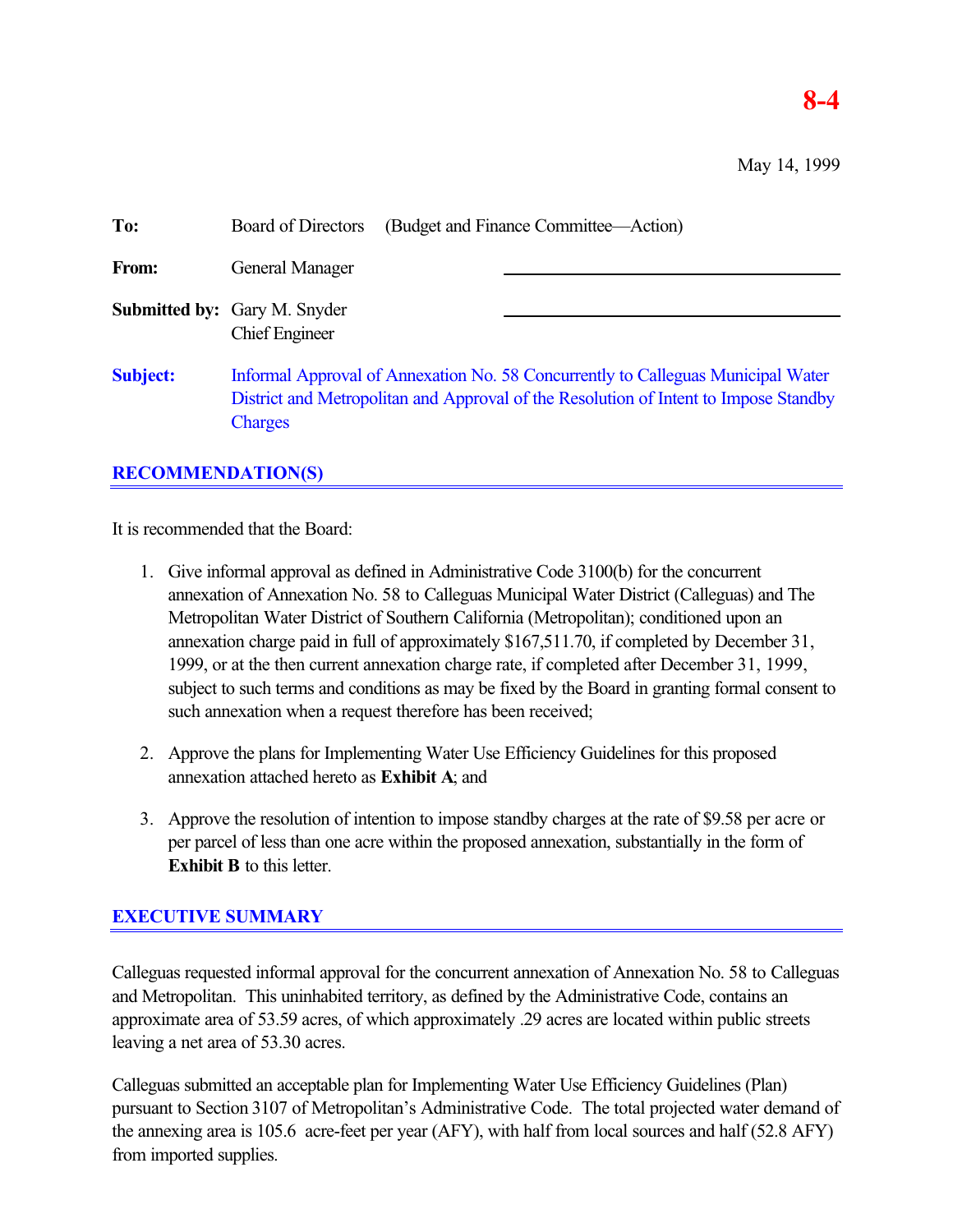# **8-4**

May 14, 1999

| To:             | (Budget and Finance Committee—Action)<br><b>Board of Directors</b>                                                                                                                         |  |  |
|-----------------|--------------------------------------------------------------------------------------------------------------------------------------------------------------------------------------------|--|--|
| From:           | General Manager                                                                                                                                                                            |  |  |
|                 | <b>Submitted by:</b> Gary M. Snyder<br><b>Chief Engineer</b>                                                                                                                               |  |  |
| <b>Subject:</b> | Informal Approval of Annexation No. 58 Concurrently to Calleguas Municipal Water<br>District and Metropolitan and Approval of the Resolution of Intent to Impose Standby<br><b>Charges</b> |  |  |

# **RECOMMENDATION(S)**

It is recommended that the Board:

- 1. Give informal approval as defined in Administrative Code 3100(b) for the concurrent annexation of Annexation No. 58 to Calleguas Municipal Water District (Calleguas) and The Metropolitan Water District of Southern California (Metropolitan); conditioned upon an annexation charge paid in full of approximately \$167,511.70, if completed by December 31, 1999, or at the then current annexation charge rate, if completed after December 31, 1999, subject to such terms and conditions as may be fixed by the Board in granting formal consent to such annexation when a request therefore has been received;
- 2. Approve the plans for Implementing Water Use Efficiency Guidelines for this proposed annexation attached hereto as **Exhibit A**; and
- 3. Approve the resolution of intention to impose standby charges at the rate of \$9.58 per acre or per parcel of less than one acre within the proposed annexation, substantially in the form of **Exhibit B** to this letter.

# **EXECUTIVE SUMMARY**

Calleguas requested informal approval for the concurrent annexation of Annexation No. 58 to Calleguas and Metropolitan. This uninhabited territory, as defined by the Administrative Code, contains an approximate area of 53.59 acres, of which approximately .29 acres are located within public streets leaving a net area of 53.30 acres.

Calleguas submitted an acceptable plan for Implementing Water Use Efficiency Guidelines (Plan) pursuant to Section 3107 of Metropolitan's Administrative Code. The total projected water demand of the annexing area is 105.6 acre-feet per year (AFY), with half from local sources and half (52.8 AFY) from imported supplies.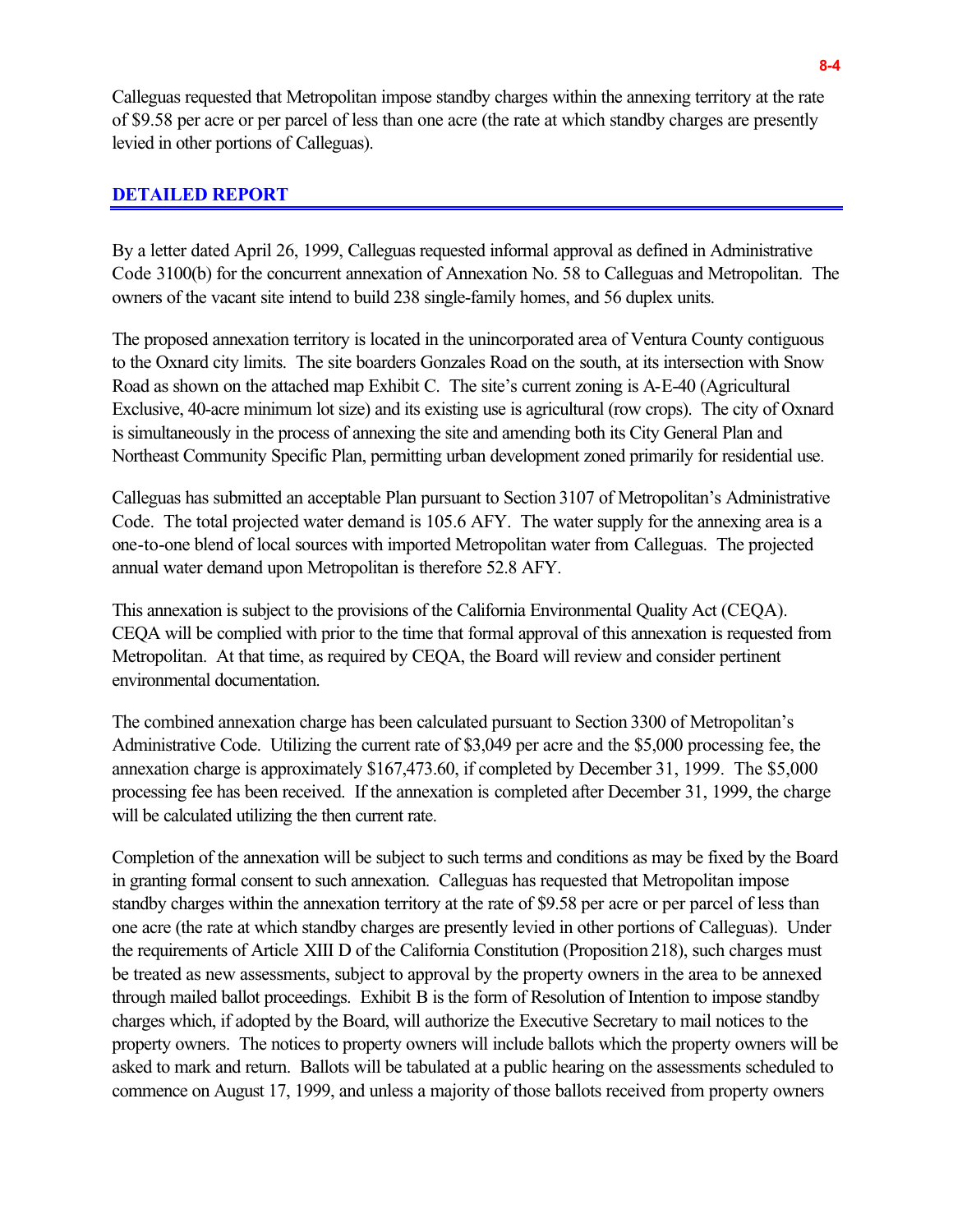Calleguas requested that Metropolitan impose standby charges within the annexing territory at the rate of \$9.58 per acre or per parcel of less than one acre (the rate at which standby charges are presently levied in other portions of Calleguas).

#### **DETAILED REPORT**

By a letter dated April 26, 1999, Calleguas requested informal approval as defined in Administrative Code 3100(b) for the concurrent annexation of Annexation No. 58 to Calleguas and Metropolitan. The owners of the vacant site intend to build 238 single-family homes, and 56 duplex units.

The proposed annexation territory is located in the unincorporated area of Ventura County contiguous to the Oxnard city limits. The site boarders Gonzales Road on the south, at its intersection with Snow Road as shown on the attached map Exhibit C. The site's current zoning is A-E-40 (Agricultural Exclusive, 40-acre minimum lot size) and its existing use is agricultural (row crops). The city of Oxnard is simultaneously in the process of annexing the site and amending both its City General Plan and Northeast Community Specific Plan, permitting urban development zoned primarily for residential use.

Calleguas has submitted an acceptable Plan pursuant to Section 3107 of Metropolitan's Administrative Code. The total projected water demand is 105.6 AFY. The water supply for the annexing area is a one-to-one blend of local sources with imported Metropolitan water from Calleguas. The projected annual water demand upon Metropolitan is therefore 52.8 AFY.

This annexation is subject to the provisions of the California Environmental Quality Act (CEQA). CEQA will be complied with prior to the time that formal approval of this annexation is requested from Metropolitan. At that time, as required by CEQA, the Board will review and consider pertinent environmental documentation.

The combined annexation charge has been calculated pursuant to Section 3300 of Metropolitan's Administrative Code. Utilizing the current rate of \$3,049 per acre and the \$5,000 processing fee, the annexation charge is approximately \$167,473.60, if completed by December 31, 1999. The \$5,000 processing fee has been received. If the annexation is completed after December 31, 1999, the charge will be calculated utilizing the then current rate.

Completion of the annexation will be subject to such terms and conditions as may be fixed by the Board in granting formal consent to such annexation. Calleguas has requested that Metropolitan impose standby charges within the annexation territory at the rate of \$9.58 per acre or per parcel of less than one acre (the rate at which standby charges are presently levied in other portions of Calleguas). Under the requirements of Article XIII D of the California Constitution (Proposition 218), such charges must be treated as new assessments, subject to approval by the property owners in the area to be annexed through mailed ballot proceedings. Exhibit B is the form of Resolution of Intention to impose standby charges which, if adopted by the Board, will authorize the Executive Secretary to mail notices to the property owners. The notices to property owners will include ballots which the property owners will be asked to mark and return. Ballots will be tabulated at a public hearing on the assessments scheduled to commence on August 17, 1999, and unless a majority of those ballots received from property owners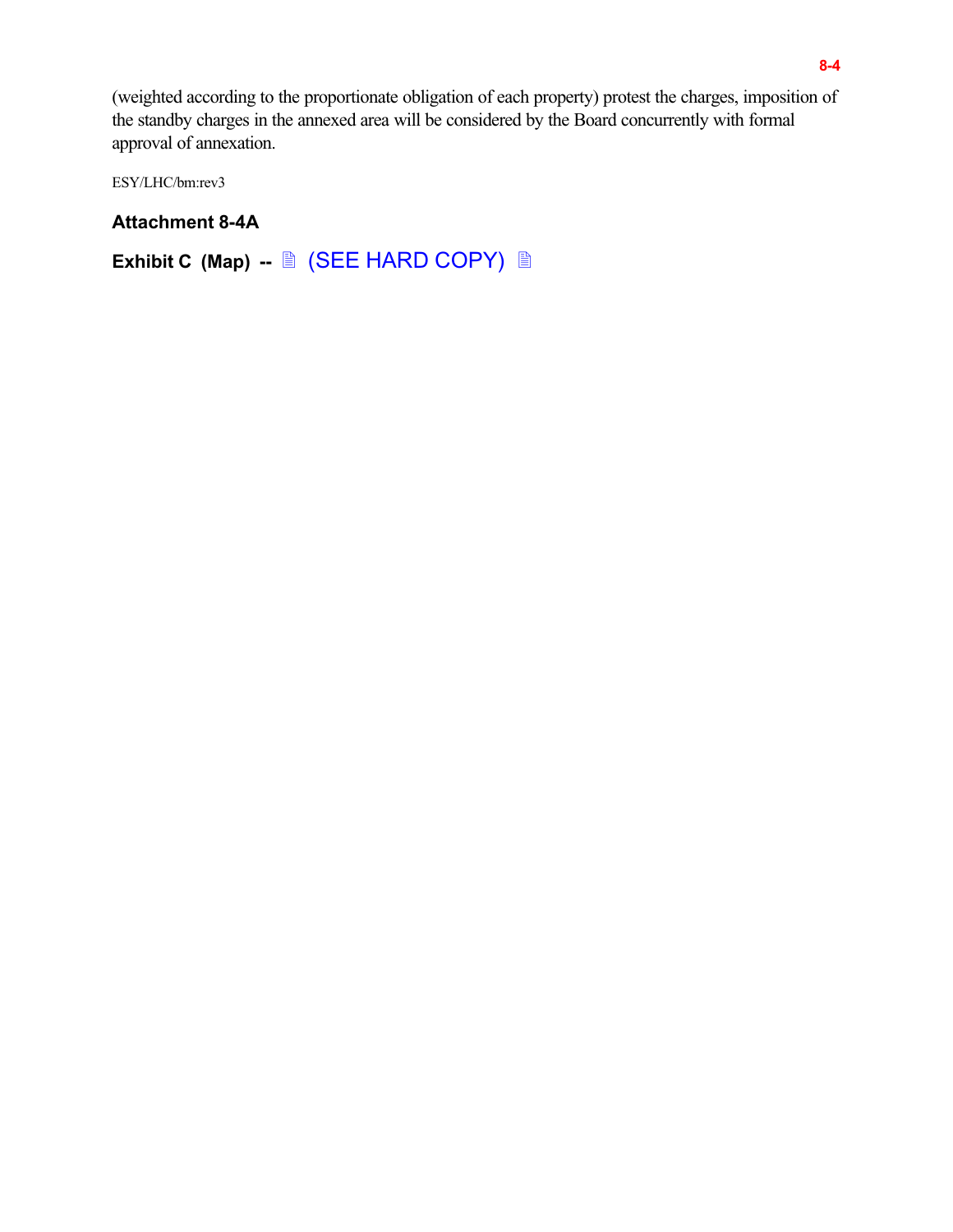(weighted according to the proportionate obligation of each property) protest the charges, imposition of the standby charges in the annexed area will be considered by the Board concurrently with formal approval of annexation.

ESY/LHC/bm:rev3

# **Attachment 8-4A**

Exhibit C (Map) -- <u>A</u> (SEE HARD COPY) A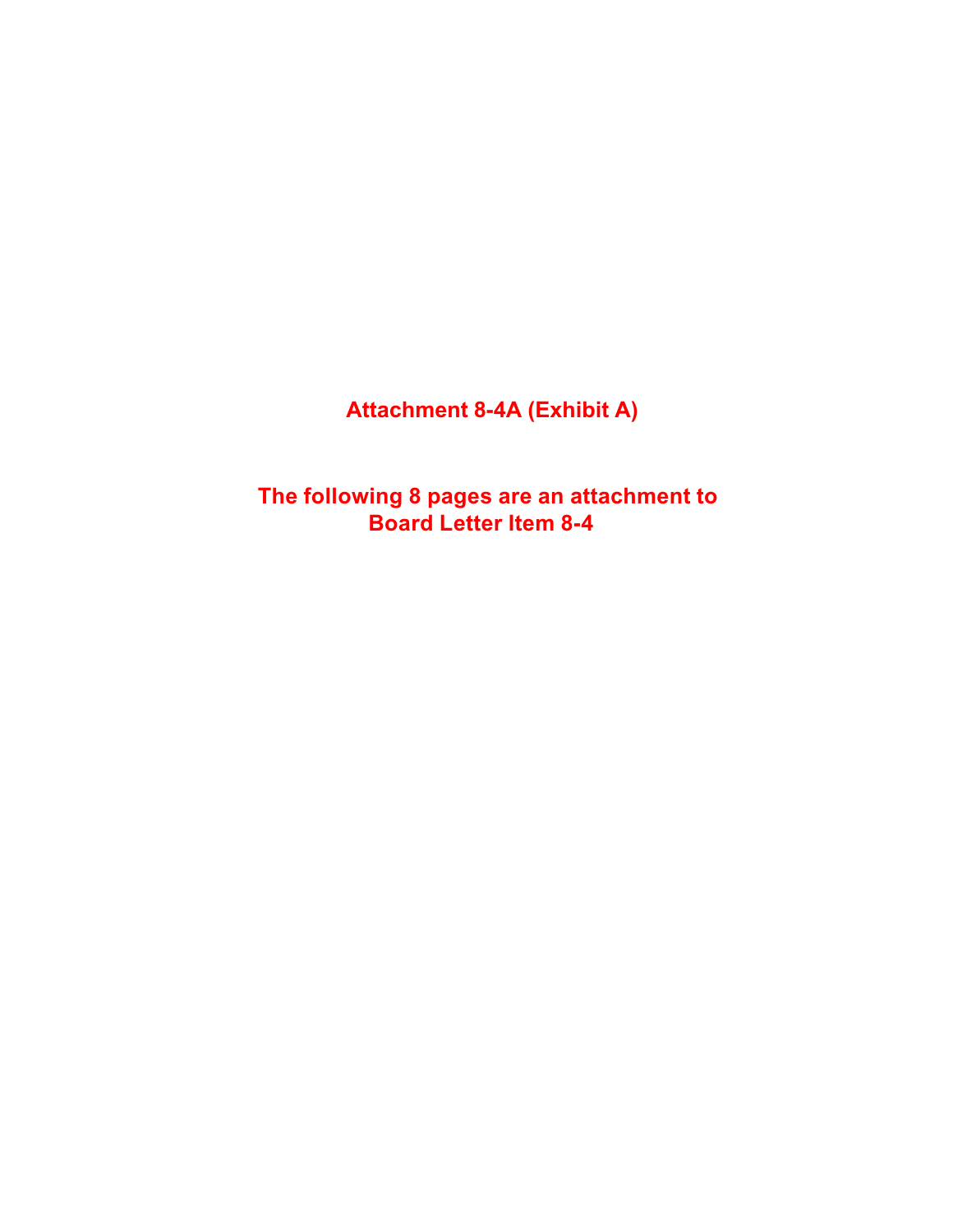**Attachment 8-4A (Exhibit A)**

**The following 8 pages are an attachment to Board Letter Item 8-4**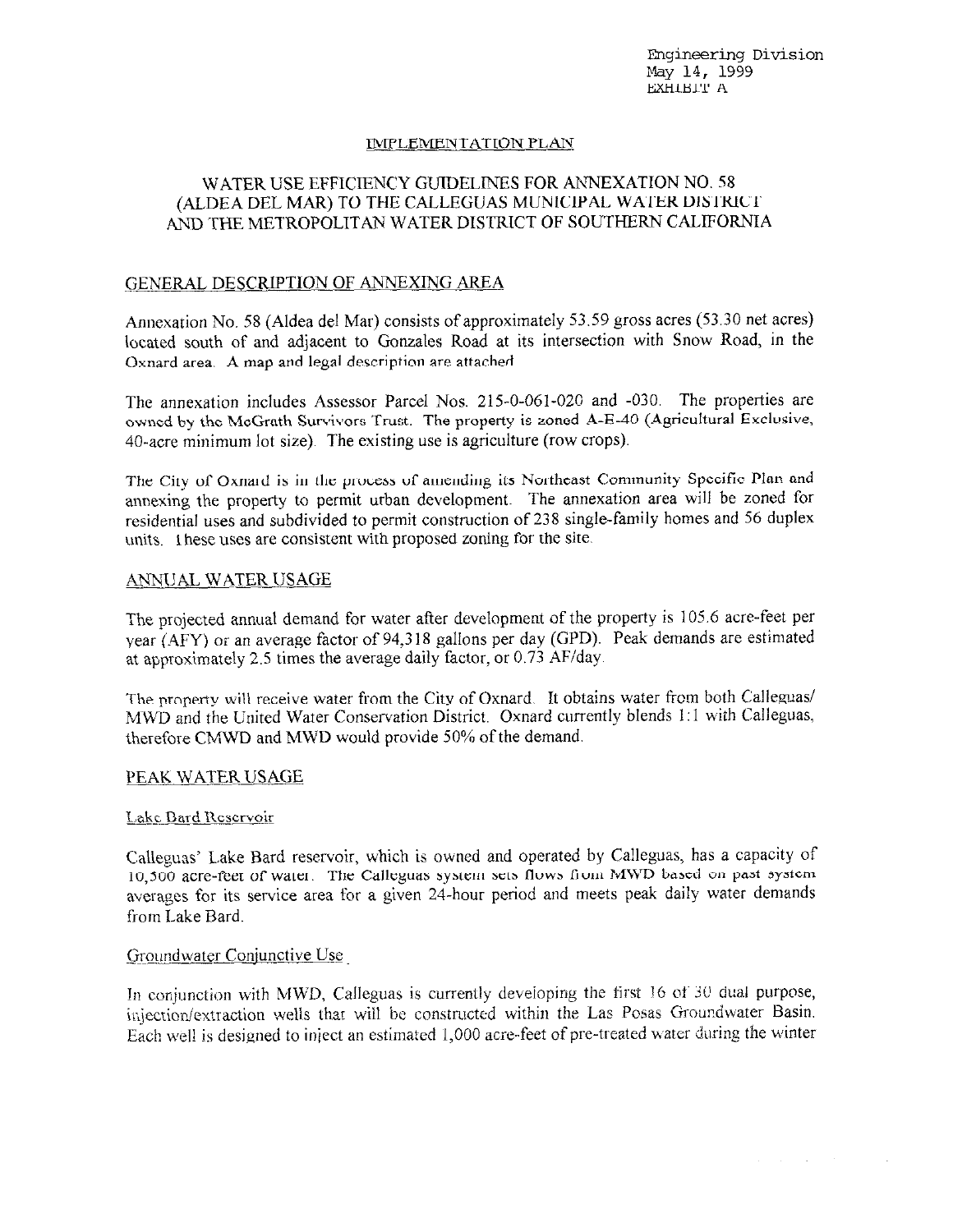Engineering Division May 14, 1999 **EXHIBIT A** 

and a strategic

#### IMPLEMENTATION PLAN

#### WATER USE EFFICIENCY GUIDELINES FOR ANNEXATION NO. 58 (ALDEA DEL MAR) TO THE CALLEGUAS MUNICIPAL WATER DISTRICT AND THE METROPOLITAN WATER DISTRICT OF SOUTHERN CALIFORNIA

#### GENERAL DESCRIPTION OF ANNEXING AREA

Annexation No. 58 (Aldea del Mar) consists of approximately 53.59 gross acres (53.30 net acres) located south of and adjacent to Gonzales Road at its intersection with Snow Road, in the Oxnard area. A map and legal description are attached

The annexation includes Assessor Parcel Nos. 215-0-061-020 and -030. The properties are owned by the McGrath Survivors Trust. The property is zoned A-E-40 (Agricultural Exclusive, 40-acre minimum lot size). The existing use is agriculture (row crops).

The City of Oxnard is in the process of amending its Northeast Community Specific Plan and annexing the property to permit urban development. The annexation area will be zoned for residential uses and subdivided to permit construction of 238 single-family homes and 56 duplex units. These uses are consistent with proposed zoning for the site.

#### **ANNUAL WATER USAGE**

The projected annual demand for water after development of the property is 105.6 acre-feet per year (AFY) or an average factor of 94,318 gallons per day (GPD). Peak demands are estimated at approximately 2.5 times the average daily factor, or 0.73 AF/day.

The property will receive water from the City of Oxnard. It obtains water from both Calleguas/ MWD and the United Water Conservation District. Oxnard currently blends 1:1 with Calleguas, therefore CMWD and MWD would provide 50% of the demand.

#### PEAK WATER USAGE

#### Lake Bard Reservoir

Calleguas' Lake Bard reservoir, which is owned and operated by Calleguas, has a capacity of 10,500 acre-feet of water. The Calleguas system sets flows from MWD based on past system averages for its service area for a given 24-hour period and meets peak daily water demands from Lake Bard.

#### Groundwater Conjunctive Use

In conjunction with MWD, Calleguas is currently developing the first 16 of 30 dual purpose, injection/extraction wells that will be constructed within the Las Posas Groundwater Basin. Each well is designed to inject an estimated 1,000 acre-feet of pre-treated water during the winter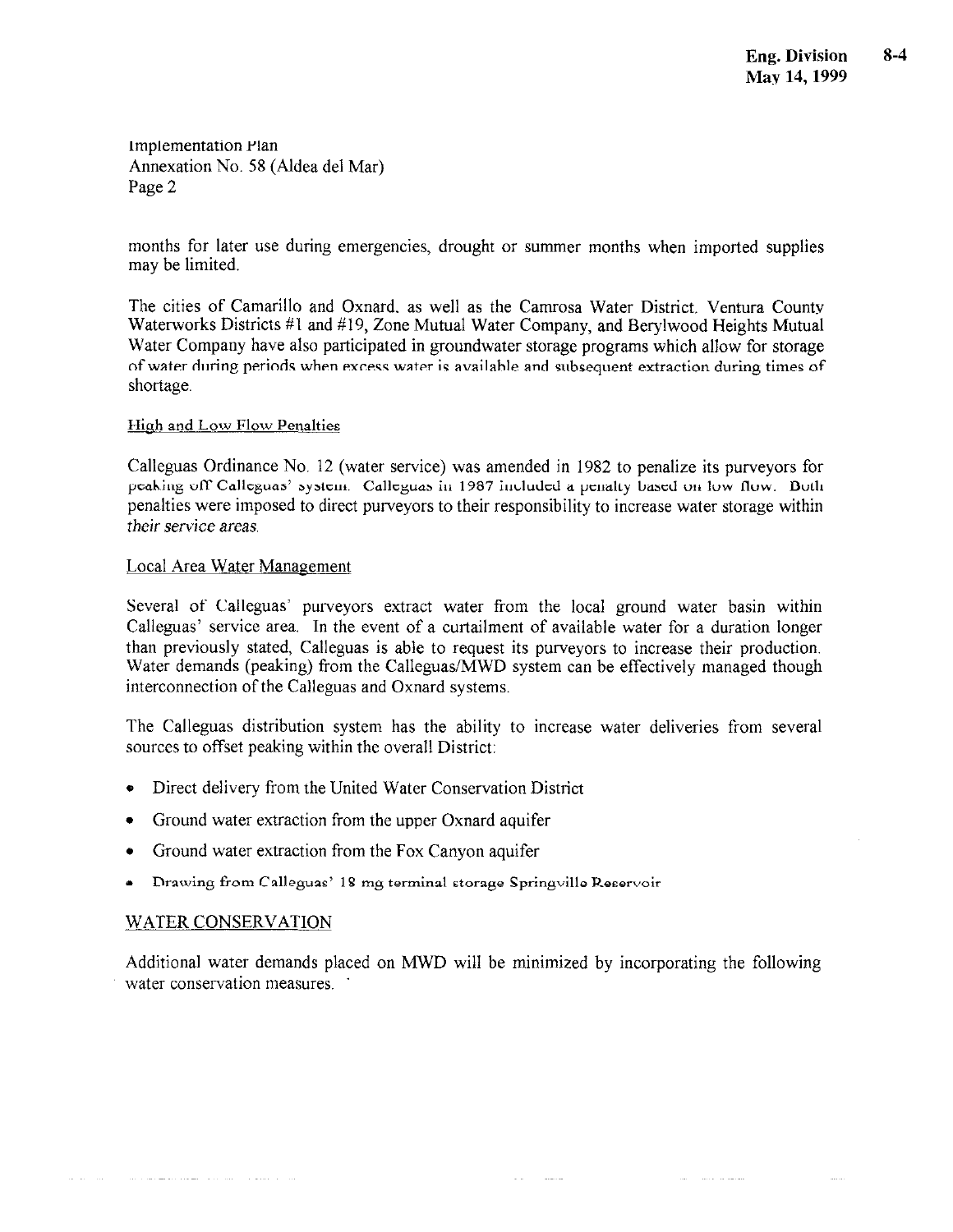months for later use during emergencies, drought or summer months when imported supplies may be limited.

The cities of Camarillo and Oxnard, as well as the Camrosa Water District, Ventura County Waterworks Districts #1 and #19, Zone Mutual Water Company, and Berylwood Heights Mutual Water Company have also participated in groundwater storage programs which allow for storage of water during periods when excess water is available and subsequent extraction during times of shortage.

#### **High and Low Flow Penalties**

Calleguas Ordinance No. 12 (water service) was amended in 1982 to penalize its purveyors for pcaking off Calleguas' system. Calleguas in 1987 included a penalty based on low flow. Both penalties were imposed to direct purveyors to their responsibility to increase water storage within their service areas.

#### Local Area Water Management

Several of Calleguas' purveyors extract water from the local ground water basin within Calleguas' service area. In the event of a curtailment of available water for a duration longer than previously stated, Calleguas is able to request its purveyors to increase their production. Water demands (peaking) from the Calleguas/MWD system can be effectively managed though interconnection of the Calleguas and Oxnard systems.

The Calleguas distribution system has the ability to increase water deliveries from several sources to offset peaking within the overall District:

- Direct delivery from the United Water Conservation District
- Ground water extraction from the upper Oxnard aquifer
- Ground water extraction from the Fox Canyon aquifer  $\bullet$
- Drawing from Calleguas' 18 mg terminal storage Springville Reservoir

#### **WATER CONSERVATION**

Additional water demands placed on MWD will be minimized by incorporating the following water conservation measures.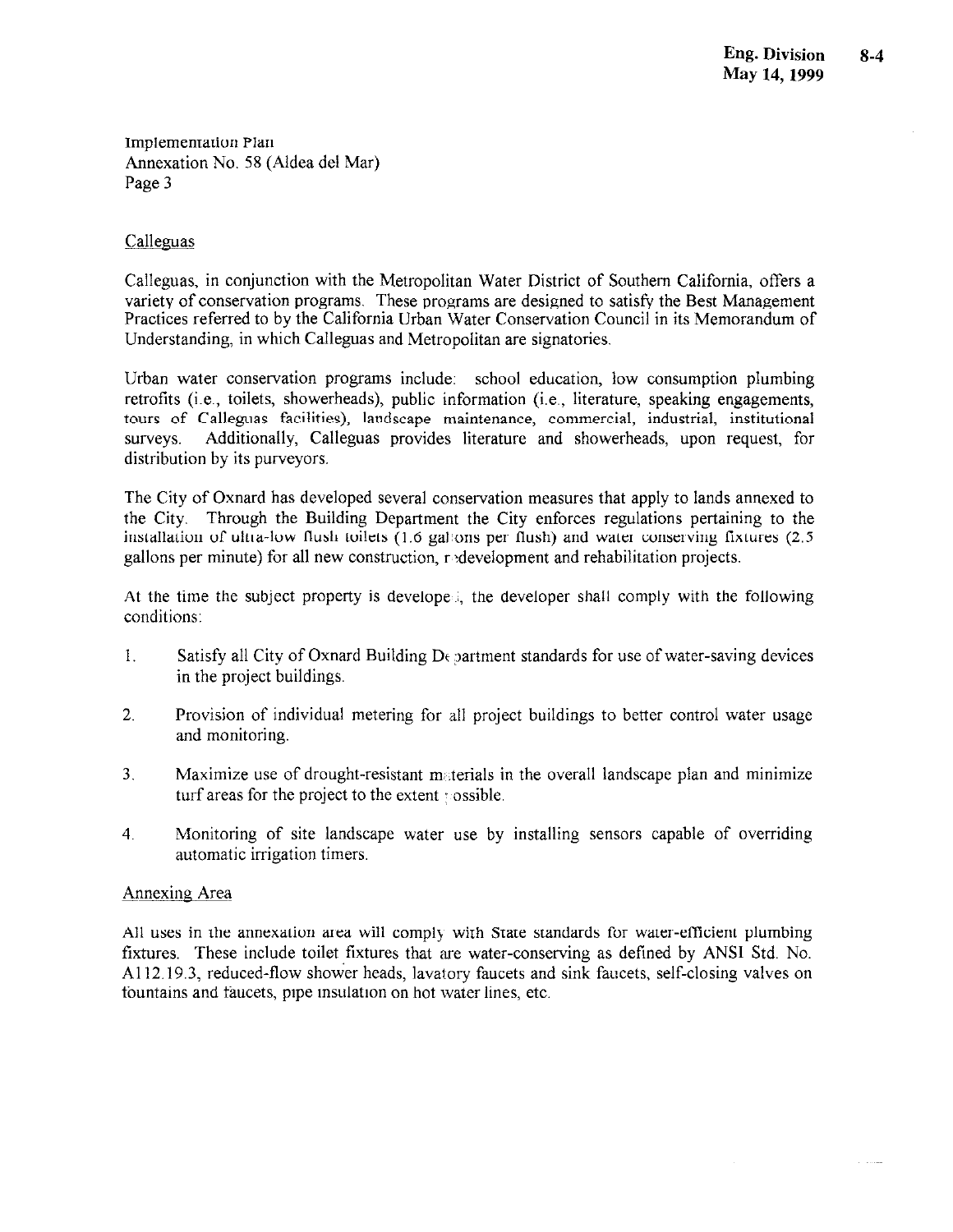#### Calleguas

Calleguas, in conjunction with the Metropolitan Water District of Southern California, offers a variety of conservation programs. These programs are designed to satisfy the Best Management Practices referred to by the California Urban Water Conservation Council in its Memorandum of Understanding, in which Calleguas and Metropolitan are signatories.

Urban water conservation programs include: school education, low consumption plumbing retrofits (i.e., toilets, showerheads), public information (i.e., literature, speaking engagements, tours of Calleguas facilities), landscape maintenance, commercial, industrial, institutional Additionally, Calleguas provides literature and showerheads, upon request, for surveys. distribution by its purveyors.

The City of Oxnard has developed several conservation measures that apply to lands annexed to the City. Through the Building Department the City enforces regulations pertaining to the installation of ultra-low flush toilets (1.6 gallons per flush) and water conserving fixtures (2.5 gallons per minute) for all new construction, redevelopment and rehabilitation projects.

At the time the subject property is develope. the developer shall comply with the following conditions:

- Satisfy all City of Oxnard Building D<sub>f</sub> partment standards for use of water-saving devices  $\mathbf{1}$ in the project buildings.
- $2<sub>1</sub>$ Provision of individual metering for all project buildings to better control water usage and monitoring.
- $3<sub>1</sub>$ Maximize use of drought-resistant materials in the overall landscape plan and minimize turf areas for the project to the extent possible.
- $4<sub>1</sub>$ Monitoring of site landscape water use by installing sensors capable of overriding automatic irrigation timers.

#### Annexing Area

All uses in the annexation area will comply with State standards for water-efficient plumbing fixtures. These include toilet fixtures that are water-conserving as defined by ANSI Std. No. A112.19.3, reduced-flow shower heads, layatory faucets and sink faucets, self-closing valves on fountains and faucets, pipe insulation on hot water lines, etc.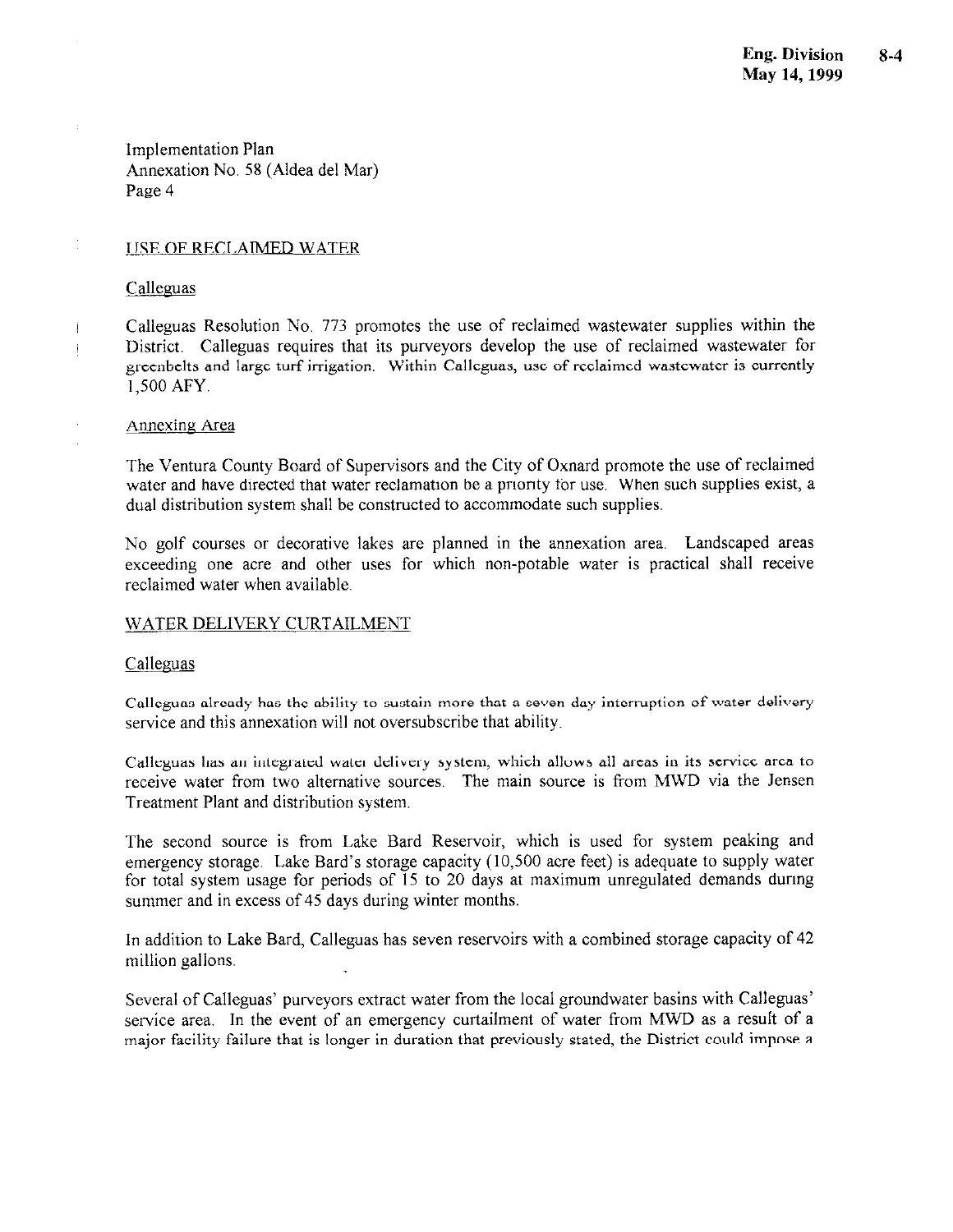#### **USE OF RECLAIMED WATER**

#### Calleguas

Calleguas Resolution No. 773 promotes the use of reclaimed wastewater supplies within the District. Calleguas requires that its purveyors develop the use of reclaimed wastewater for greenbelts and large turf irrigation. Within Calleguas, use of reclaimed wastewater is currently 1,500 AFY.

#### Annexing Area

The Ventura County Board of Supervisors and the City of Oxnard promote the use of reclaimed water and have directed that water reclamation be a priority for use. When such supplies exist, a dual distribution system shall be constructed to accommodate such supplies.

No golf courses or decorative lakes are planned in the annexation area. Landscaped areas exceeding one acre and other uses for which non-potable water is practical shall receive reclaimed water when available.

#### WATER DELIVERY CURTAILMENT

#### Calleguas

Calleguas already has the ability to sustain more that a seven-day interruption of water delivery service and this annexation will not oversubscribe that ability.

Calleguas has an integrated water delivery system, which allows all areas in its service area to receive water from two alternative sources. The main source is from MWD via the Jensen Treatment Plant and distribution system.

The second source is from Lake Bard Reservoir, which is used for system peaking and emergency storage. Lake Bard's storage capacity (10,500 acre feet) is adequate to supply water for total system usage for periods of 15 to 20 days at maximum unregulated demands during summer and in excess of 45 days during winter months.

In addition to Lake Bard, Calleguas has seven reservoirs with a combined storage capacity of 42 million gallons.

Several of Calleguas' purveyors extract water from the local groundwater basins with Calleguas' service area. In the event of an emergency curtailment of water from MWD as a result of a major facility failure that is longer in duration that previously stated, the District could impose a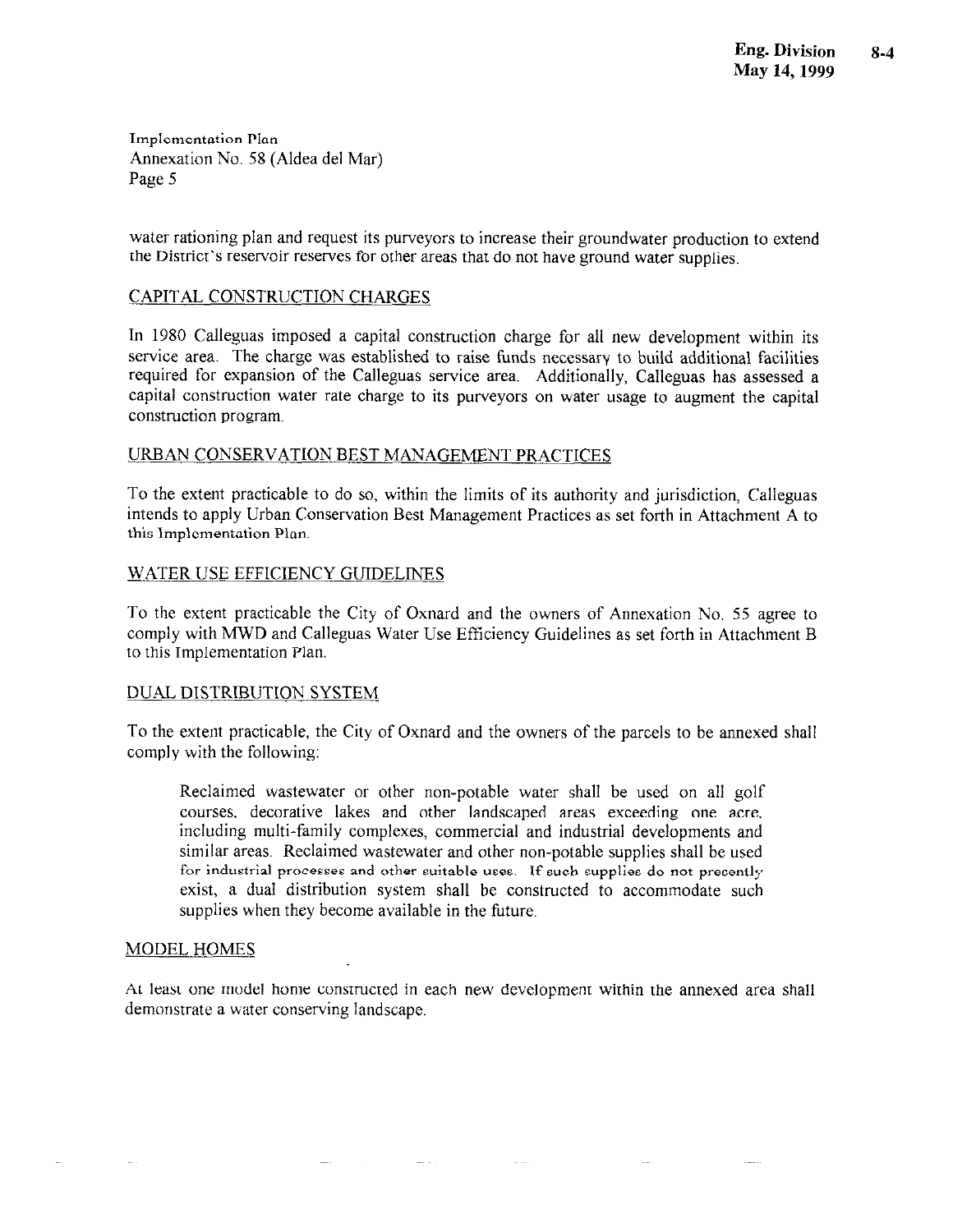water rationing plan and request its purveyors to increase their groundwater production to extend the District's reservoir reserves for other areas that do not have ground water supplies.

#### CAPITAL CONSTRUCTION CHARGES

In 1980 Calleguas imposed a capital construction charge for all new development within its service area. The charge was established to raise funds necessary to build additional facilities required for expansion of the Calleguas service area. Additionally, Calleguas has assessed a capital construction water rate charge to its purveyors on water usage to augment the capital construction program.

#### URBAN CONSERVATION BEST MANAGEMENT PRACTICES

To the extent practicable to do so, within the limits of its authority and jurisdiction, Calleguas intends to apply Urban Conservation Best Management Practices as set forth in Attachment A to this Implementation Plan.

#### **WATER USE EFFICIENCY GUIDELINES**

To the extent practicable the City of Oxnard and the owners of Annexation No. 55 agree to comply with MWD and Calleguas Water Use Efficiency Guidelines as set forth in Attachment B to this Implementation Plan.

#### DUAL DISTRIBUTION SYSTEM

To the extent practicable, the City of Oxnard and the owners of the parcels to be annexed shall comply with the following:

Reclaimed wastewater or other non-potable water shall be used on all golf courses, decorative lakes and other landscaped areas exceeding one acre, including multi-family complexes, commercial and industrial developments and similar areas. Reclaimed wastewater and other non-potable supplies shall be used for industrial processes and other suitable uses. If such supplies do not presently exist, a dual distribution system shall be constructed to accommodate such supplies when they become available in the future.

#### **MODEL HOMES**

At least one model home constructed in each new development within the annexed area shall demonstrate a water conserving landscape.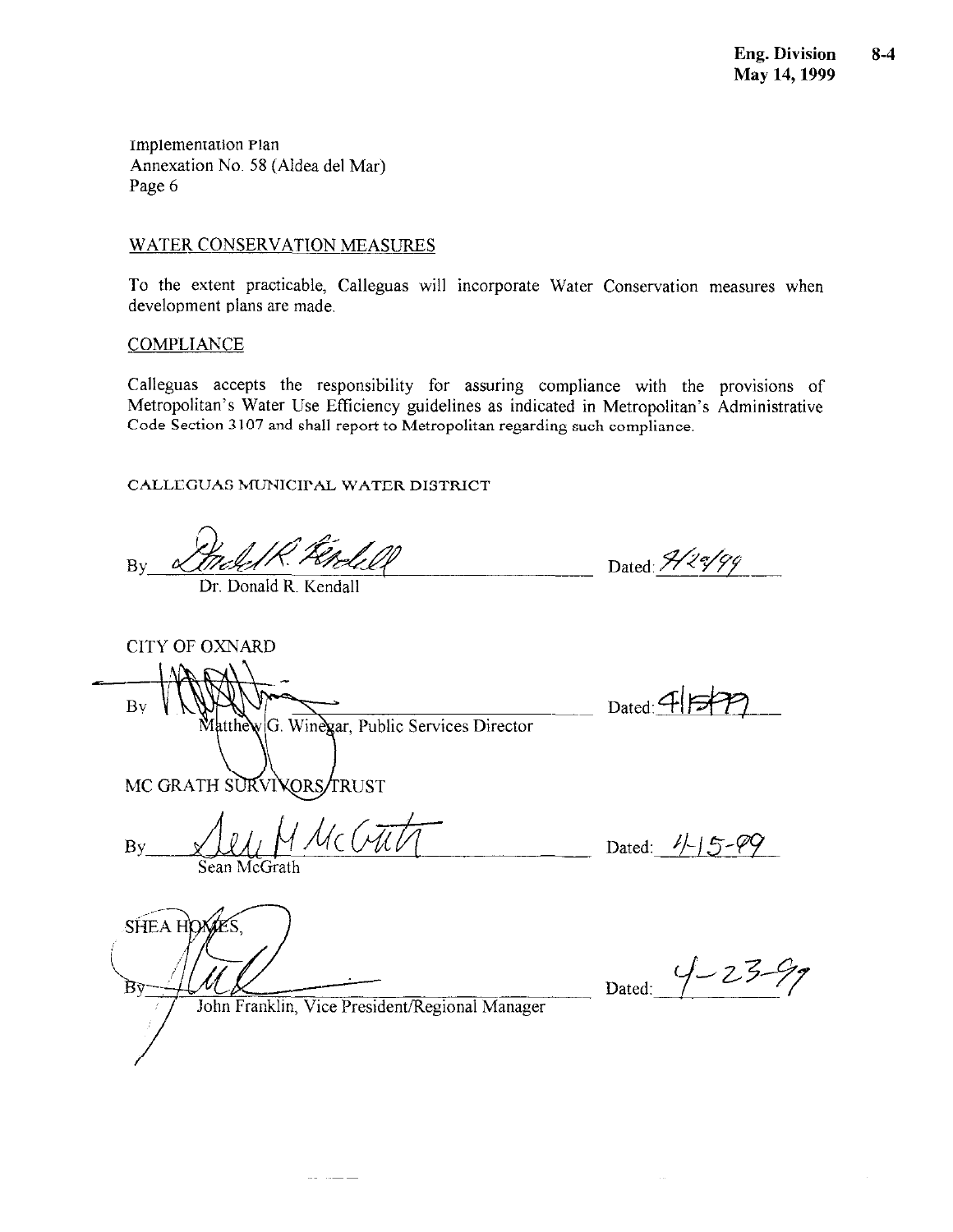#### WATER CONSERVATION MEASURES

To the extent practicable, Calleguas will incorporate Water Conservation measures when development plans are made.

#### **COMPLIANCE**

**CITY OF OXNARD** 

SHEA HOMES

By

B٧

Calleguas accepts the responsibility for assuring compliance with the provisions of Metropolitan's Water Use Efficiency guidelines as indicated in Metropolitan's Administrative Code Section 3107 and shall report to Metropolitan regarding such compliance.

CALLEGUAS MUNICIPAL WATER DISTRICT

 $\overline{B}v$ 

Dr. Donald R. Kendall

Dated: 9/20/99

Dated:  $4F$ 

MC GRATH SURVIVORS TRUST

Uc Cutil By Sean McGrath

Dated:  $1/5 - 09$ 

 $4 - 23$ Dated:

John Franklin, Vice President/Regional Manager

سنداسيا المنا

Matthew G. Winexar, Public Services Director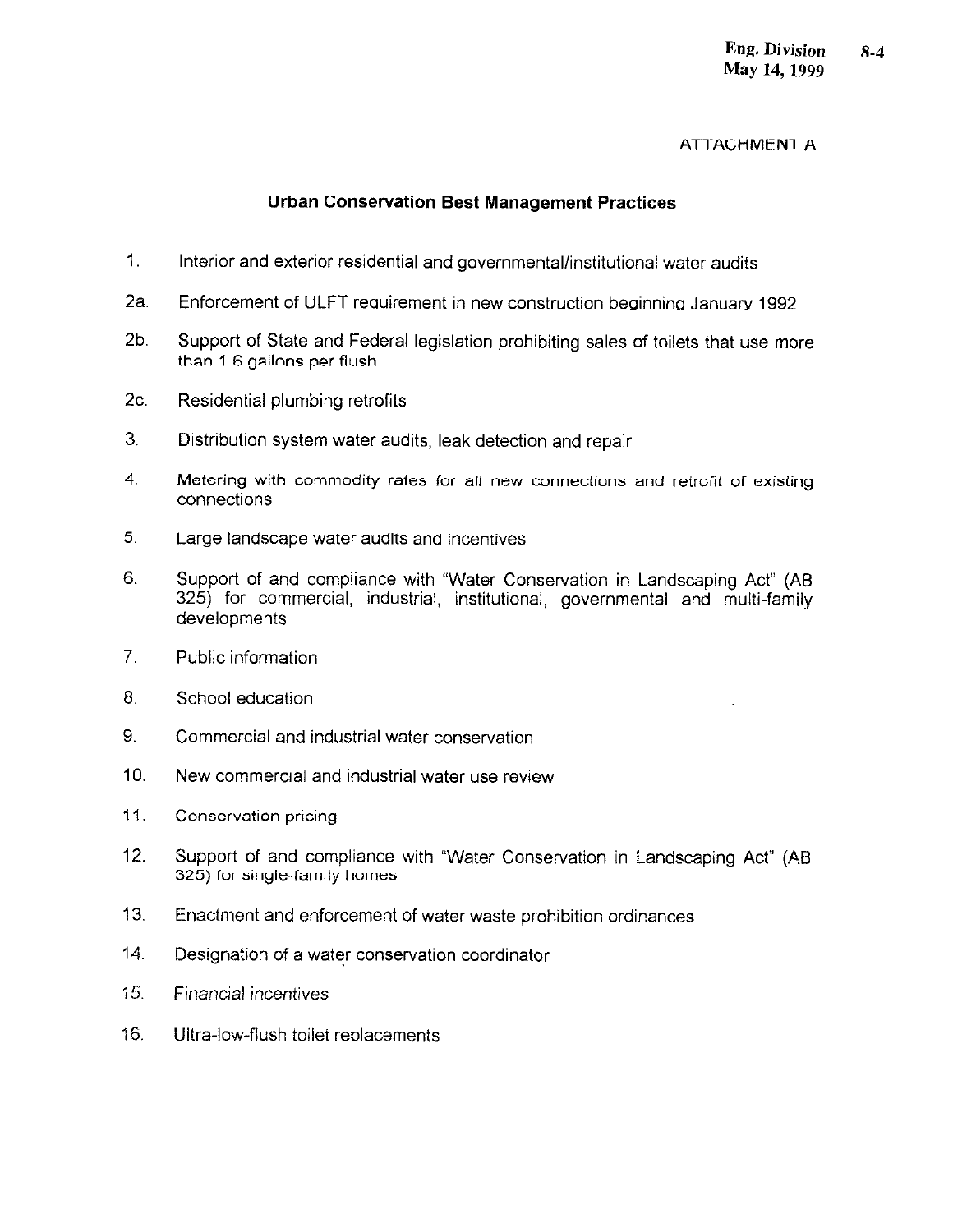#### **ATTACHMENT A**

#### **Urban Conservation Best Management Practices**

- $1<sup>1</sup>$ Interior and exterior residential and governmental/institutional water audits
- $2a.$ Enforcement of ULFT requirement in new construction beginning January 1992
- $2<sub>b</sub>$ Support of State and Federal legislation prohibiting sales of toilets that use more than 1.6 gallons per flush
- $2c$ Residential plumbing retrofits
- $3<sub>1</sub>$ Distribution system water audits, leak detection and repair
- $\overline{4}$ . Metering with commodity rates for all new connections and retrofit of existing connections
- $5<sub>1</sub>$ Large landscape water audits and incentives
- 6. Support of and compliance with "Water Conservation in Landscaping Act" (AB 325) for commercial, industrial, institutional, governmental and multi-family developments
- $7<sup>1</sup>$ Public information
- 8. School education
- 9. Commercial and industrial water conservation
- $10<sub>1</sub>$ New commercial and industrial water use review
- $11.$ Conservation pricing
- $12.$ Support of and compliance with "Water Conservation in Landscaping Act" (AB 325) for single-family homes
- $13.$ Enactment and enforcement of water waste prohibition ordinances
- $14<sub>1</sub>$ Designation of a water conservation coordinator
- 15. Financial incentives
- Ultra-low-flush toilet replacements  $16.$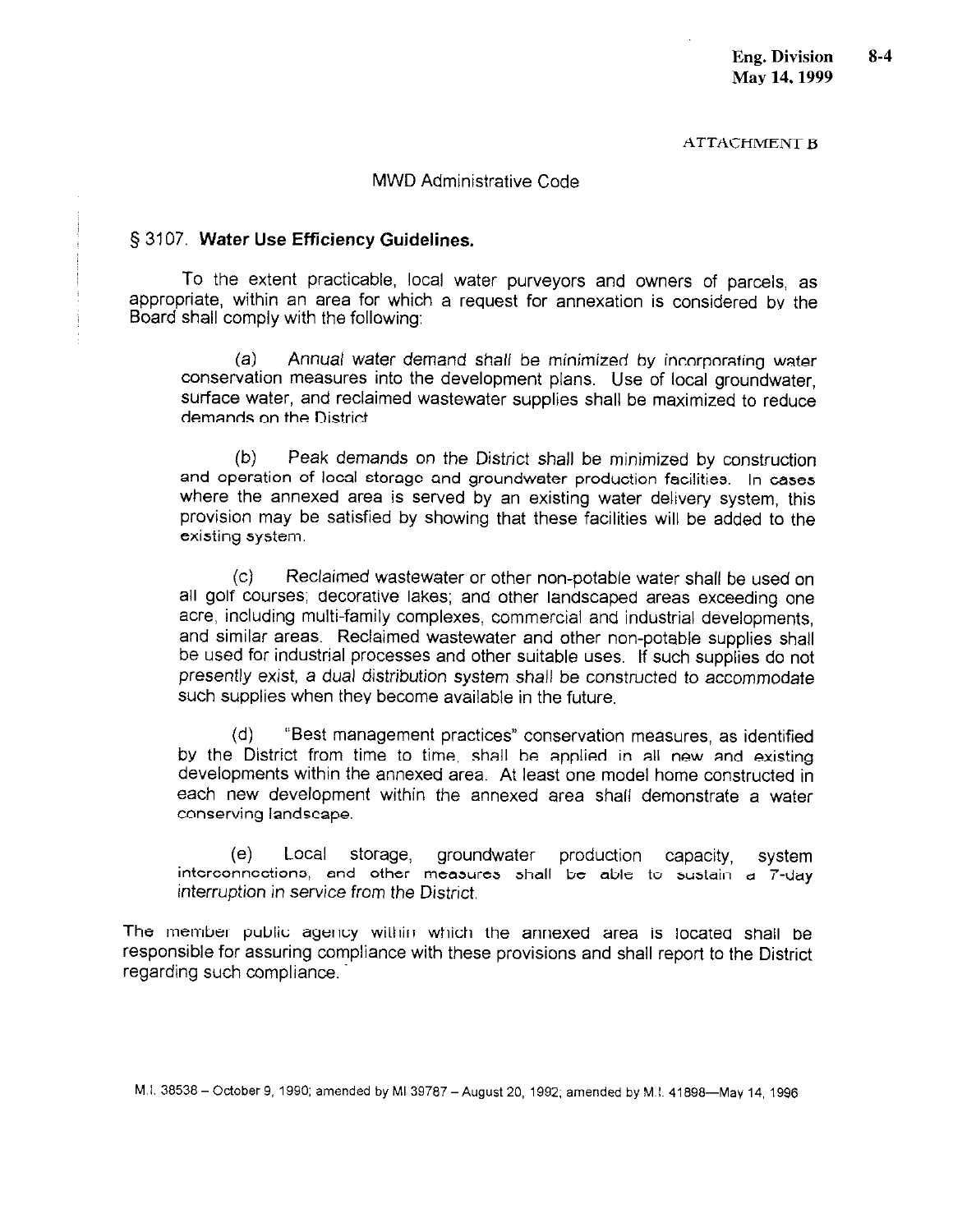**ATTACHMENT B** 

#### **MWD Administrative Code**

#### § 3107. Water Use Efficiency Guidelines.

To the extent practicable, local water purveyors and owners of parcels, as appropriate, within an area for which a request for annexation is considered by the Board shall comply with the following:

 $(a)$ Annual water demand shall be minimized by incorporating water conservation measures into the development plans. Use of local groundwater, surface water, and reclaimed wastewater supplies shall be maximized to reduce demands on the District

Peak demands on the District shall be minimized by construction  $(b)$ and operation of local storage and groundwater production facilities. In cases where the annexed area is served by an existing water delivery system, this provision may be satisfied by showing that these facilities will be added to the existing system.

 $(C)$ Reclaimed wastewater or other non-potable water shall be used on all golf courses; decorative lakes; and other landscaped areas exceeding one acre, including multi-family complexes, commercial and industrial developments, and similar areas. Reclaimed wastewater and other non-potable supplies shall be used for industrial processes and other suitable uses. If such supplies do not presently exist, a dual distribution system shall be constructed to accommodate such supplies when they become available in the future.

 $(d)$ "Best management practices" conservation measures, as identified by the District from time to time, shall be applied in all new and existing developments within the annexed area. At least one model home constructed in each new development within the annexed area shall demonstrate a water conserving landscape.

 $(e)$ Local storage. groundwater production capacity. system interconnections, and other measures shall be able to sustain a 7-day interruption in service from the District.

The member public agency within which the annexed area is located shall be responsible for assuring compliance with these provisions and shall report to the District regarding such compliance.

M.I. 38538 - October 9, 1990; amended by MI 39787 - August 20, 1992; amended by M.I. 41898-May 14, 1996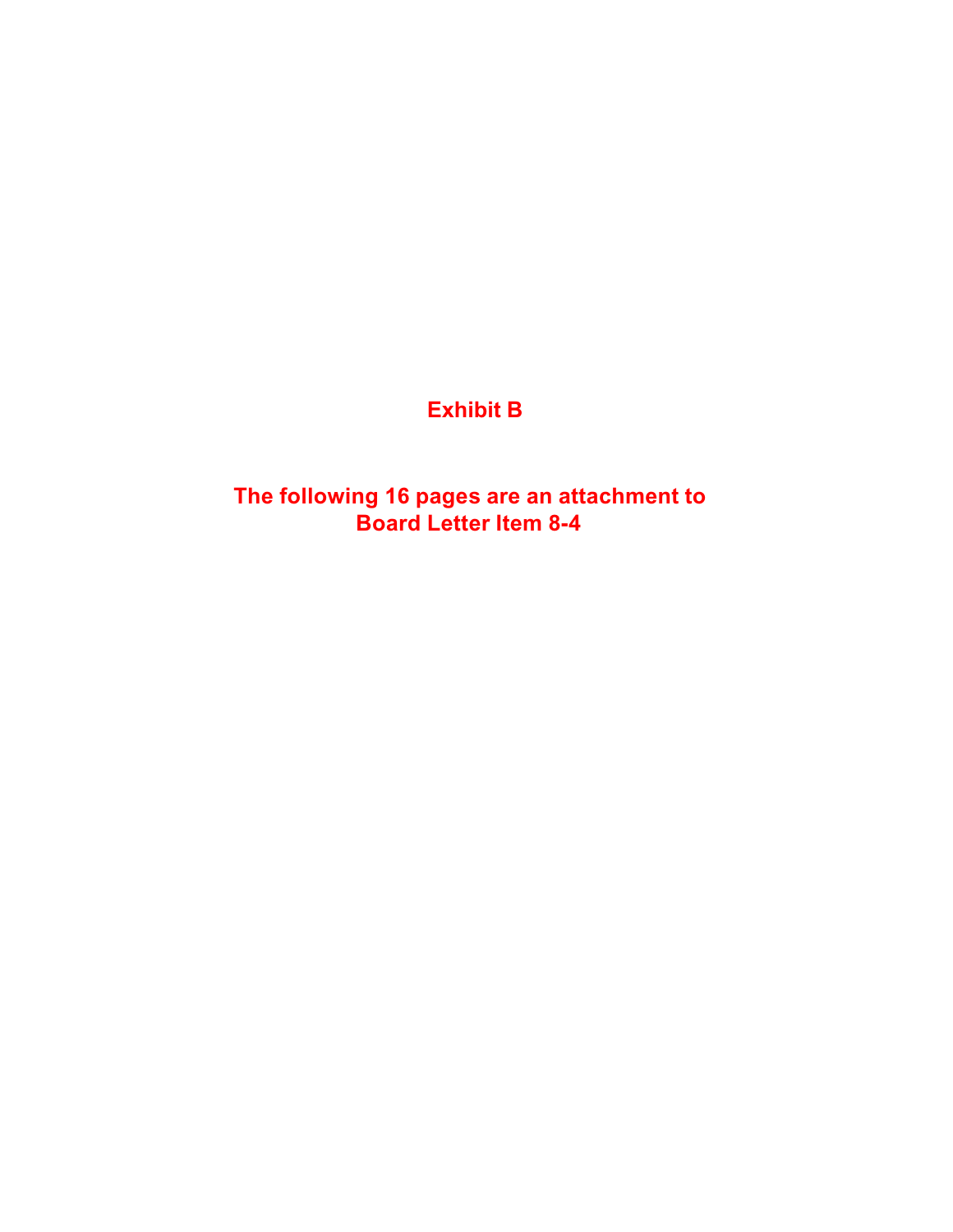# **Exhibit B**

**The following 16 pages are an attachment to Board Letter Item 8-4**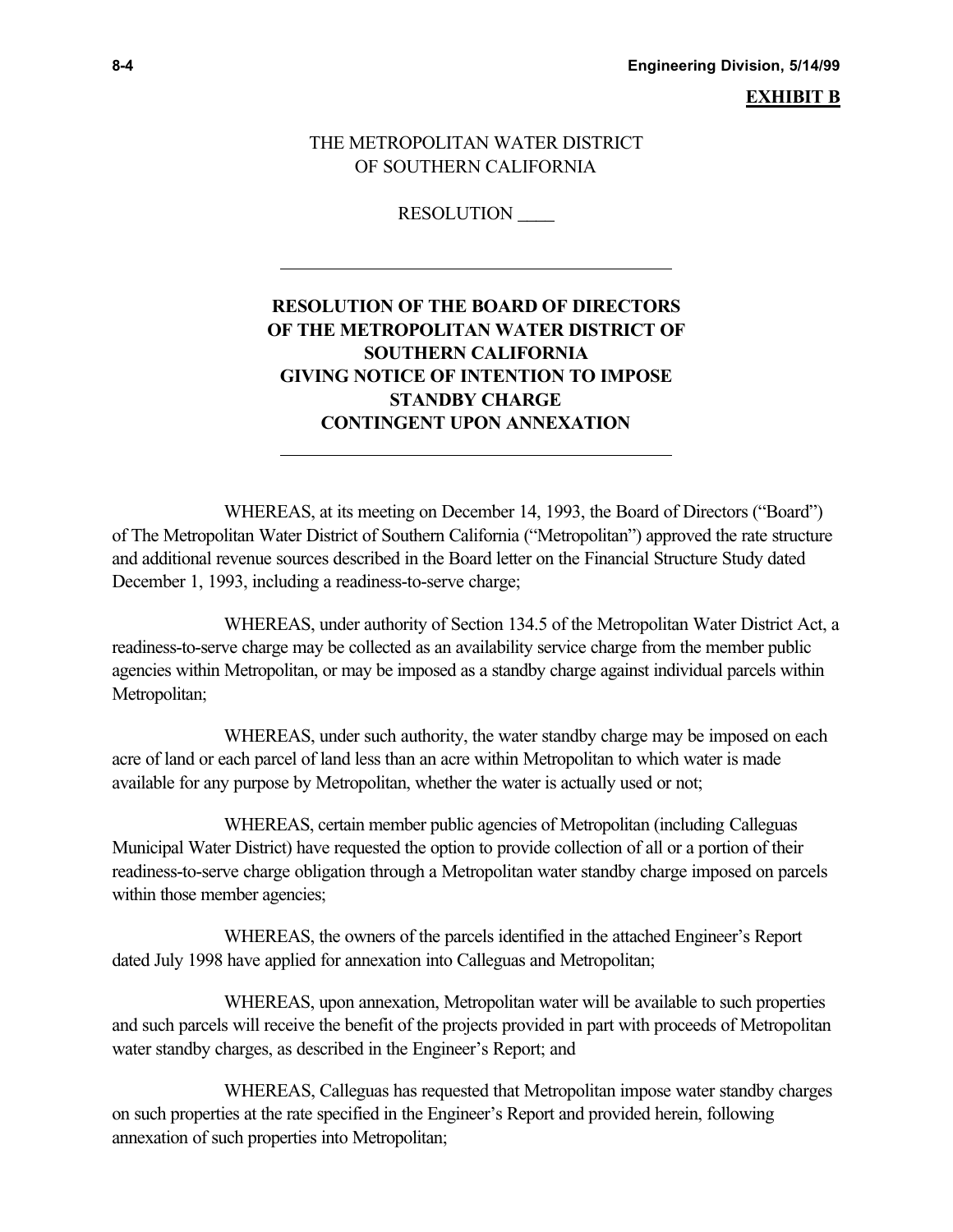**8-4 Engineering Division, 5/14/99**

**EXHIBIT B**

#### THE METROPOLITAN WATER DISTRICT OF SOUTHERN CALIFORNIA

RESOLUTION \_\_\_\_

l,

l,

# **RESOLUTION OF THE BOARD OF DIRECTORS OF THE METROPOLITAN WATER DISTRICT OF SOUTHERN CALIFORNIA GIVING NOTICE OF INTENTION TO IMPOSE STANDBY CHARGE CONTINGENT UPON ANNEXATION**

WHEREAS, at its meeting on December 14, 1993, the Board of Directors ("Board") of The Metropolitan Water District of Southern California ("Metropolitan") approved the rate structure and additional revenue sources described in the Board letter on the Financial Structure Study dated December 1, 1993, including a readiness-to-serve charge;

WHEREAS, under authority of Section 134.5 of the Metropolitan Water District Act, a readiness-to-serve charge may be collected as an availability service charge from the member public agencies within Metropolitan, or may be imposed as a standby charge against individual parcels within Metropolitan;

WHEREAS, under such authority, the water standby charge may be imposed on each acre of land or each parcel of land less than an acre within Metropolitan to which water is made available for any purpose by Metropolitan, whether the water is actually used or not;

WHEREAS, certain member public agencies of Metropolitan (including Calleguas Municipal Water District) have requested the option to provide collection of all or a portion of their readiness-to-serve charge obligation through a Metropolitan water standby charge imposed on parcels within those member agencies;

WHEREAS, the owners of the parcels identified in the attached Engineer's Report dated July 1998 have applied for annexation into Calleguas and Metropolitan;

WHEREAS, upon annexation, Metropolitan water will be available to such properties and such parcels will receive the benefit of the projects provided in part with proceeds of Metropolitan water standby charges, as described in the Engineer's Report; and

WHEREAS, Calleguas has requested that Metropolitan impose water standby charges on such properties at the rate specified in the Engineer's Report and provided herein, following annexation of such properties into Metropolitan;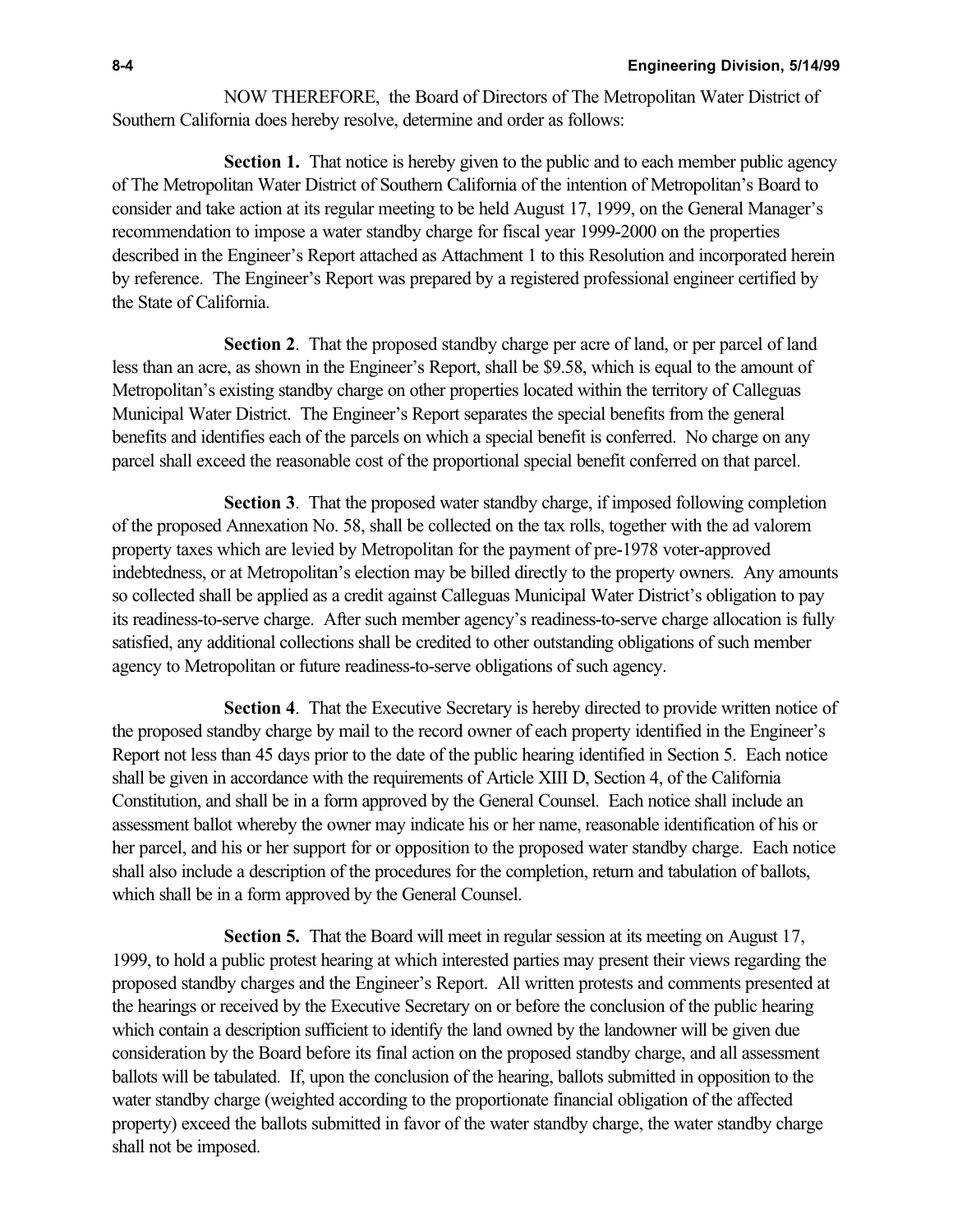NOW THEREFORE, the Board of Directors of The Metropolitan Water District of Southern California does hereby resolve, determine and order as follows:

**Section 1.** That notice is hereby given to the public and to each member public agency of The Metropolitan Water District of Southern California of the intention of Metropolitan's Board to consider and take action at its regular meeting to be held August 17, 1999, on the General Manager's recommendation to impose a water standby charge for fiscal year 1999-2000 on the properties described in the Engineer's Report attached as Attachment 1 to this Resolution and incorporated herein by reference. The Engineer's Report was prepared by a registered professional engineer certified by the State of California.

**Section 2**. That the proposed standby charge per acre of land, or per parcel of land less than an acre, as shown in the Engineer's Report, shall be \$9.58, which is equal to the amount of Metropolitan's existing standby charge on other properties located within the territory of Calleguas Municipal Water District. The Engineer's Report separates the special benefits from the general benefits and identifies each of the parcels on which a special benefit is conferred. No charge on any parcel shall exceed the reasonable cost of the proportional special benefit conferred on that parcel.

**Section 3**. That the proposed water standby charge, if imposed following completion of the proposed Annexation No. 58, shall be collected on the tax rolls, together with the ad valorem property taxes which are levied by Metropolitan for the payment of pre-1978 voter-approved indebtedness, or at Metropolitan's election may be billed directly to the property owners. Any amounts so collected shall be applied as a credit against Calleguas Municipal Water District's obligation to pay its readiness-to-serve charge. After such member agency's readiness-to-serve charge allocation is fully satisfied, any additional collections shall be credited to other outstanding obligations of such member agency to Metropolitan or future readiness-to-serve obligations of such agency.

**Section 4**. That the Executive Secretary is hereby directed to provide written notice of the proposed standby charge by mail to the record owner of each property identified in the Engineer's Report not less than 45 days prior to the date of the public hearing identified in Section 5. Each notice shall be given in accordance with the requirements of Article XIII D, Section 4, of the California Constitution, and shall be in a form approved by the General Counsel. Each notice shall include an assessment ballot whereby the owner may indicate his or her name, reasonable identification of his or her parcel, and his or her support for or opposition to the proposed water standby charge. Each notice shall also include a description of the procedures for the completion, return and tabulation of ballots, which shall be in a form approved by the General Counsel.

**Section 5.** That the Board will meet in regular session at its meeting on August 17, 1999, to hold a public protest hearing at which interested parties may present their views regarding the proposed standby charges and the Engineer's Report. All written protests and comments presented at the hearings or received by the Executive Secretary on or before the conclusion of the public hearing which contain a description sufficient to identify the land owned by the landowner will be given due consideration by the Board before its final action on the proposed standby charge, and all assessment ballots will be tabulated. If, upon the conclusion of the hearing, ballots submitted in opposition to the water standby charge (weighted according to the proportionate financial obligation of the affected property) exceed the ballots submitted in favor of the water standby charge, the water standby charge shall not be imposed.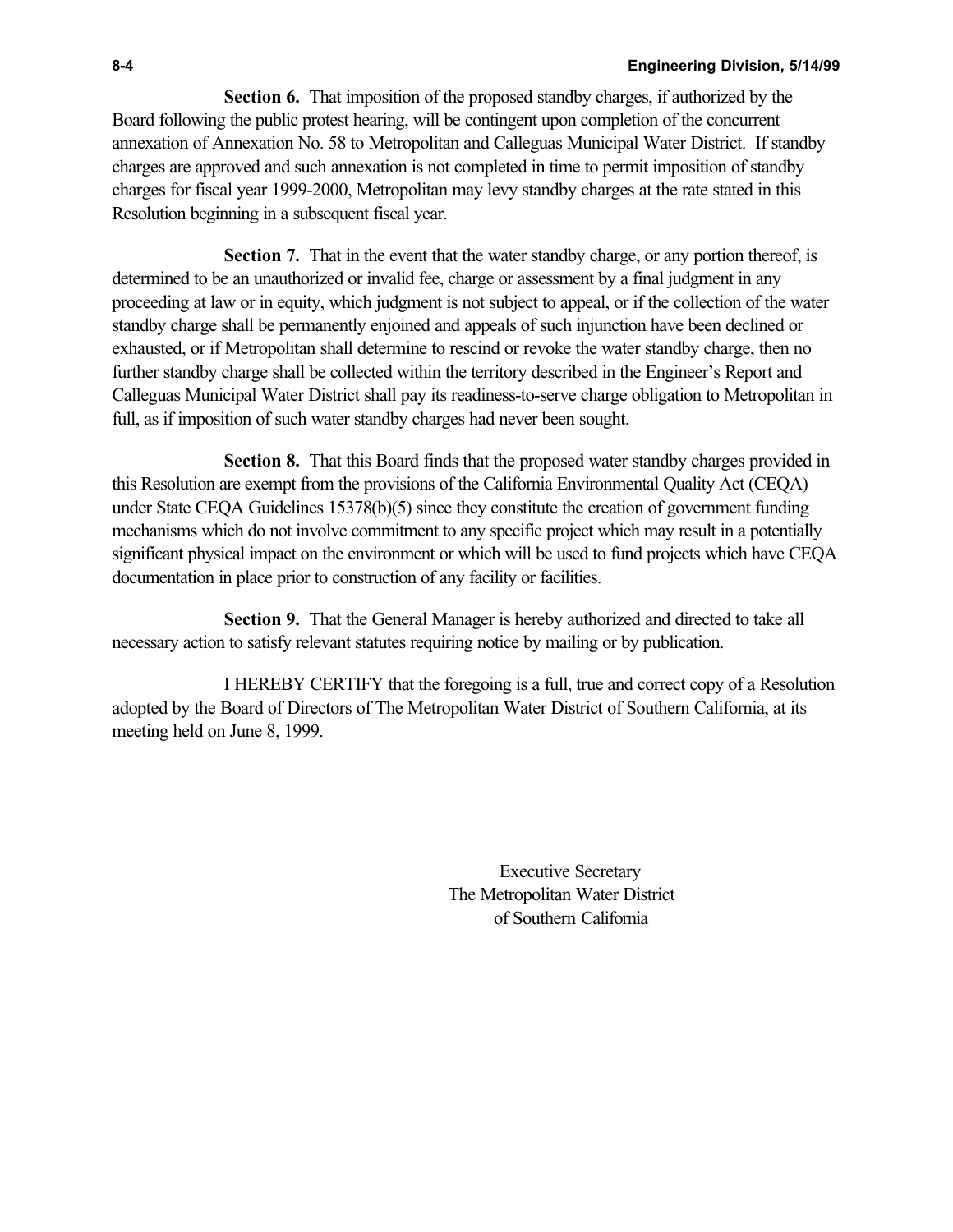**Section 6.** That imposition of the proposed standby charges, if authorized by the Board following the public protest hearing, will be contingent upon completion of the concurrent annexation of Annexation No. 58 to Metropolitan and Calleguas Municipal Water District. If standby charges are approved and such annexation is not completed in time to permit imposition of standby charges for fiscal year 1999-2000, Metropolitan may levy standby charges at the rate stated in this Resolution beginning in a subsequent fiscal year.

**Section 7.** That in the event that the water standby charge, or any portion thereof, is determined to be an unauthorized or invalid fee, charge or assessment by a final judgment in any proceeding at law or in equity, which judgment is not subject to appeal, or if the collection of the water standby charge shall be permanently enjoined and appeals of such injunction have been declined or exhausted, or if Metropolitan shall determine to rescind or revoke the water standby charge, then no further standby charge shall be collected within the territory described in the Engineer's Report and Calleguas Municipal Water District shall pay its readiness-to-serve charge obligation to Metropolitan in full, as if imposition of such water standby charges had never been sought.

**Section 8.** That this Board finds that the proposed water standby charges provided in this Resolution are exempt from the provisions of the California Environmental Quality Act (CEQA) under State CEQA Guidelines 15378(b)(5) since they constitute the creation of government funding mechanisms which do not involve commitment to any specific project which may result in a potentially significant physical impact on the environment or which will be used to fund projects which have CEQA documentation in place prior to construction of any facility or facilities.

**Section 9.** That the General Manager is hereby authorized and directed to take all necessary action to satisfy relevant statutes requiring notice by mailing or by publication.

I HEREBY CERTIFY that the foregoing is a full, true and correct copy of a Resolution adopted by the Board of Directors of The Metropolitan Water District of Southern California, at its meeting held on June 8, 1999.

l,

 Executive Secretary The Metropolitan Water District of Southern California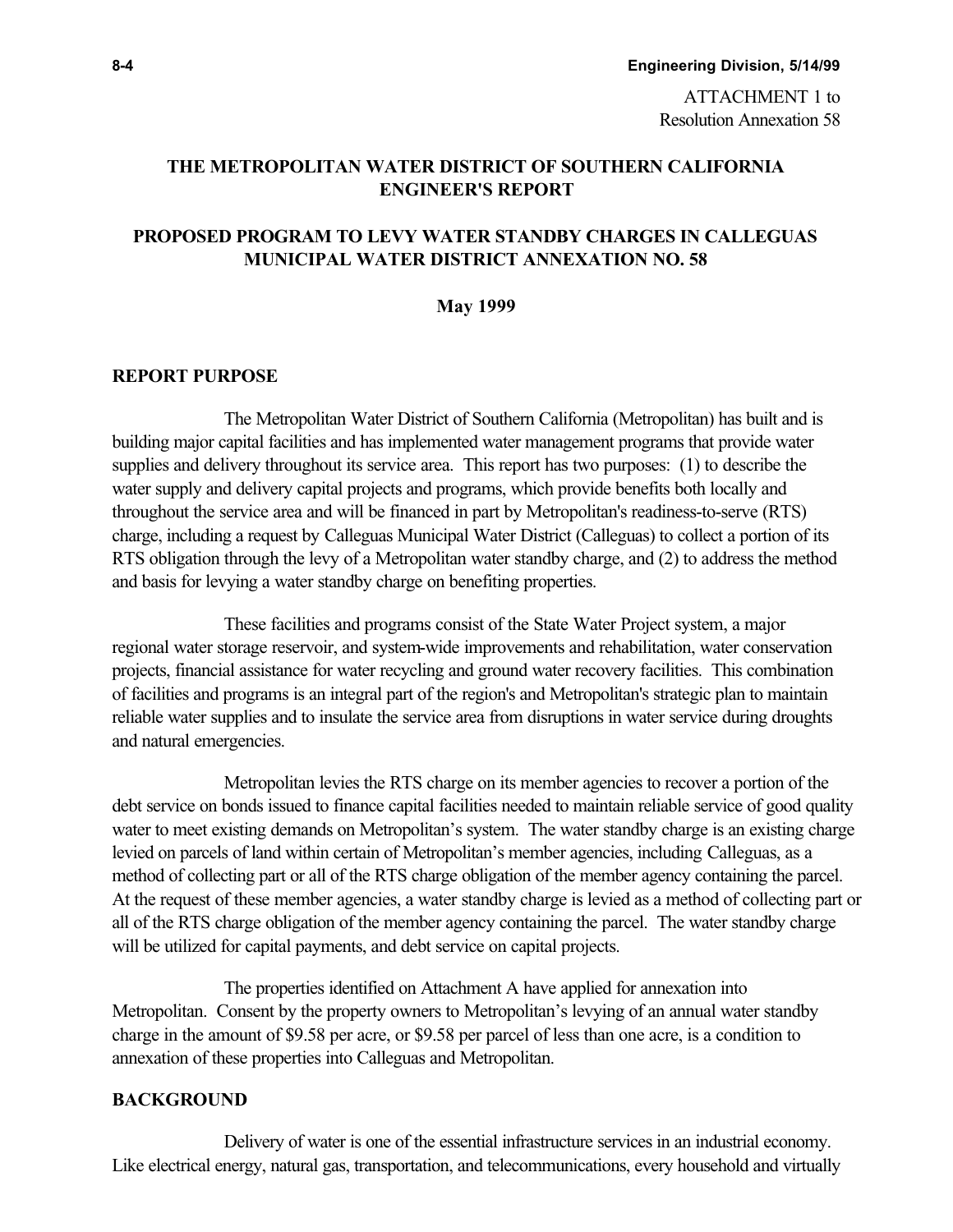Resolution Annexation 58

# **THE METROPOLITAN WATER DISTRICT OF SOUTHERN CALIFORNIA ENGINEER'S REPORT**

# **PROPOSED PROGRAM TO LEVY WATER STANDBY CHARGES IN CALLEGUAS MUNICIPAL WATER DISTRICT ANNEXATION NO. 58**

#### **May 1999**

#### **REPORT PURPOSE**

The Metropolitan Water District of Southern California (Metropolitan) has built and is building major capital facilities and has implemented water management programs that provide water supplies and delivery throughout its service area. This report has two purposes: (1) to describe the water supply and delivery capital projects and programs, which provide benefits both locally and throughout the service area and will be financed in part by Metropolitan's readiness-to-serve (RTS) charge, including a request by Calleguas Municipal Water District (Calleguas) to collect a portion of its RTS obligation through the levy of a Metropolitan water standby charge, and (2) to address the method and basis for levying a water standby charge on benefiting properties.

These facilities and programs consist of the State Water Project system, a major regional water storage reservoir, and system-wide improvements and rehabilitation, water conservation projects, financial assistance for water recycling and ground water recovery facilities. This combination of facilities and programs is an integral part of the region's and Metropolitan's strategic plan to maintain reliable water supplies and to insulate the service area from disruptions in water service during droughts and natural emergencies.

Metropolitan levies the RTS charge on its member agencies to recover a portion of the debt service on bonds issued to finance capital facilities needed to maintain reliable service of good quality water to meet existing demands on Metropolitan's system. The water standby charge is an existing charge levied on parcels of land within certain of Metropolitan's member agencies, including Calleguas, as a method of collecting part or all of the RTS charge obligation of the member agency containing the parcel. At the request of these member agencies, a water standby charge is levied as a method of collecting part or all of the RTS charge obligation of the member agency containing the parcel. The water standby charge will be utilized for capital payments, and debt service on capital projects.

The properties identified on Attachment A have applied for annexation into Metropolitan. Consent by the property owners to Metropolitan's levying of an annual water standby charge in the amount of \$9.58 per acre, or \$9.58 per parcel of less than one acre, is a condition to annexation of these properties into Calleguas and Metropolitan.

#### **BACKGROUND**

Delivery of water is one of the essential infrastructure services in an industrial economy. Like electrical energy, natural gas, transportation, and telecommunications, every household and virtually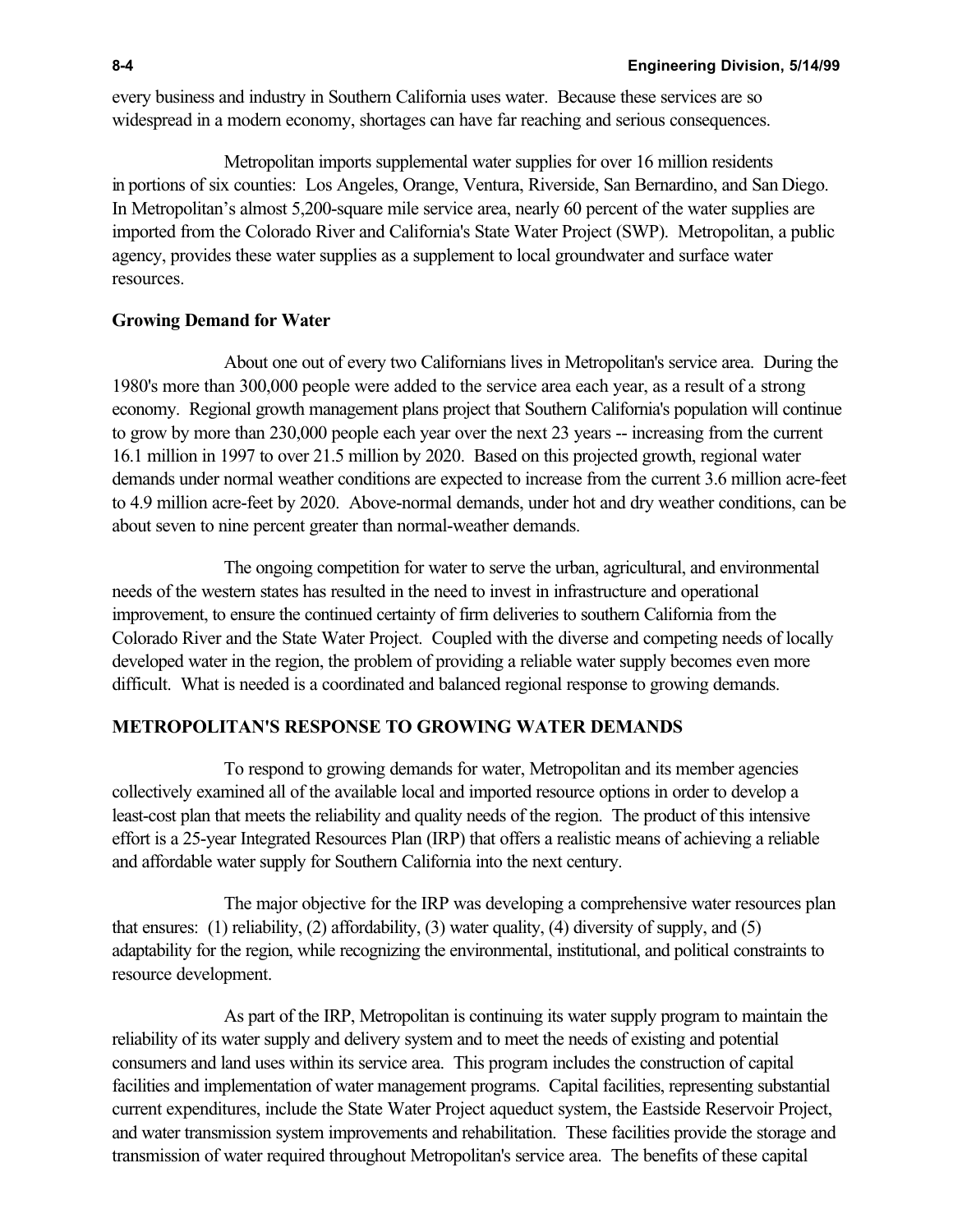every business and industry in Southern California uses water. Because these services are so widespread in a modern economy, shortages can have far reaching and serious consequences.

Metropolitan imports supplemental water supplies for over 16 million residents in portions of six counties: Los Angeles, Orange, Ventura, Riverside, San Bernardino, and San Diego. In Metropolitan's almost 5,200-square mile service area, nearly 60 percent of the water supplies are imported from the Colorado River and California's State Water Project (SWP). Metropolitan, a public agency, provides these water supplies as a supplement to local groundwater and surface water resources.

#### **Growing Demand for Water**

About one out of every two Californians lives in Metropolitan's service area. During the 1980's more than 300,000 people were added to the service area each year, as a result of a strong economy. Regional growth management plans project that Southern California's population will continue to grow by more than 230,000 people each year over the next 23 years -- increasing from the current 16.1 million in 1997 to over 21.5 million by 2020. Based on this projected growth, regional water demands under normal weather conditions are expected to increase from the current 3.6 million acre-feet to 4.9 million acre-feet by 2020. Above-normal demands, under hot and dry weather conditions, can be about seven to nine percent greater than normal-weather demands.

The ongoing competition for water to serve the urban, agricultural, and environmental needs of the western states has resulted in the need to invest in infrastructure and operational improvement, to ensure the continued certainty of firm deliveries to southern California from the Colorado River and the State Water Project. Coupled with the diverse and competing needs of locally developed water in the region, the problem of providing a reliable water supply becomes even more difficult. What is needed is a coordinated and balanced regional response to growing demands.

#### **METROPOLITAN'S RESPONSE TO GROWING WATER DEMANDS**

To respond to growing demands for water, Metropolitan and its member agencies collectively examined all of the available local and imported resource options in order to develop a least-cost plan that meets the reliability and quality needs of the region. The product of this intensive effort is a 25-year Integrated Resources Plan (IRP) that offers a realistic means of achieving a reliable and affordable water supply for Southern California into the next century.

The major objective for the IRP was developing a comprehensive water resources plan that ensures: (1) reliability, (2) affordability, (3) water quality, (4) diversity of supply, and (5) adaptability for the region, while recognizing the environmental, institutional, and political constraints to resource development.

As part of the IRP, Metropolitan is continuing its water supply program to maintain the reliability of its water supply and delivery system and to meet the needs of existing and potential consumers and land uses within its service area. This program includes the construction of capital facilities and implementation of water management programs. Capital facilities, representing substantial current expenditures, include the State Water Project aqueduct system, the Eastside Reservoir Project, and water transmission system improvements and rehabilitation. These facilities provide the storage and transmission of water required throughout Metropolitan's service area. The benefits of these capital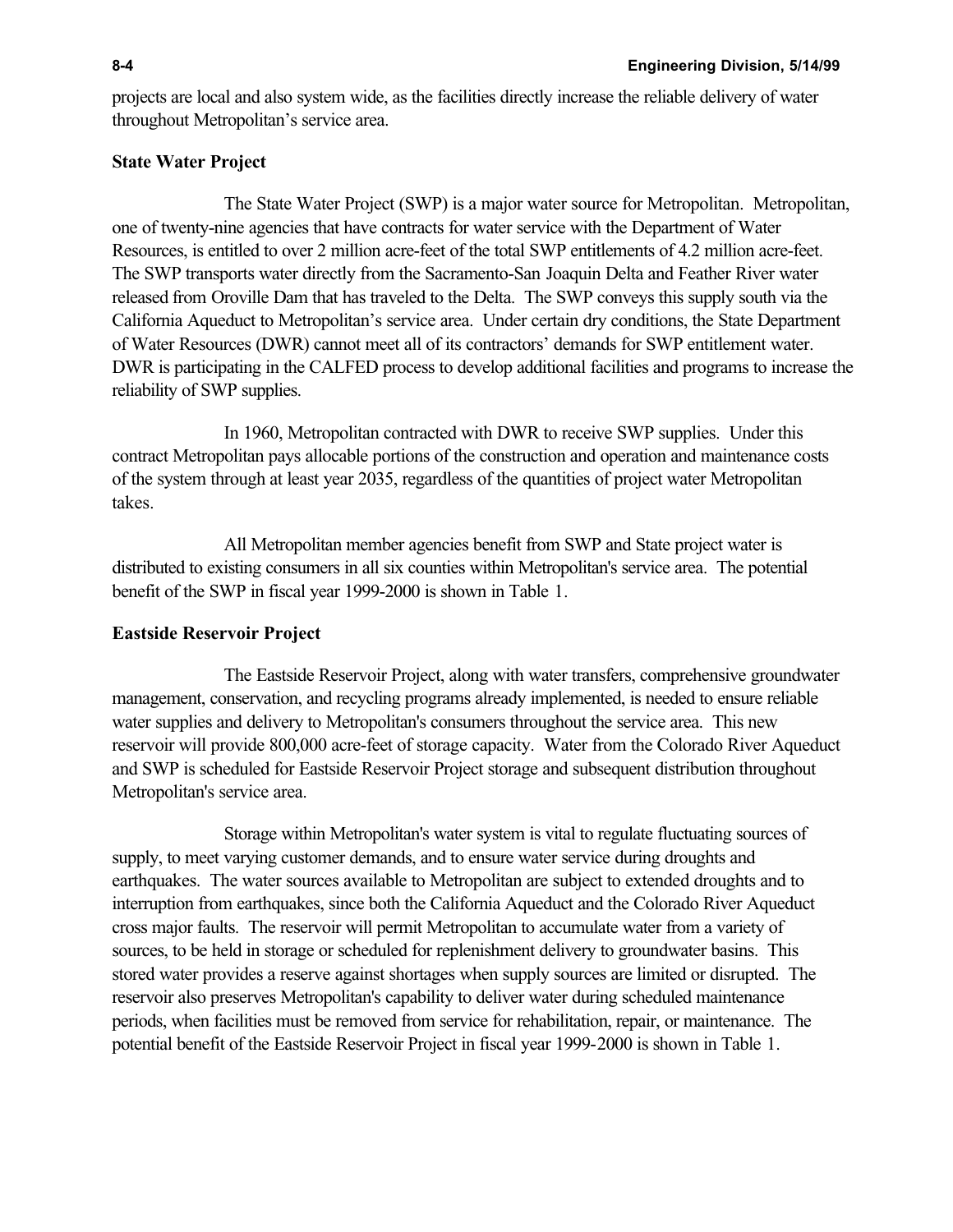projects are local and also system wide, as the facilities directly increase the reliable delivery of water throughout Metropolitan's service area.

#### **State Water Project**

The State Water Project (SWP) is a major water source for Metropolitan. Metropolitan, one of twenty-nine agencies that have contracts for water service with the Department of Water Resources, is entitled to over 2 million acre-feet of the total SWP entitlements of 4.2 million acre-feet. The SWP transports water directly from the Sacramento-San Joaquin Delta and Feather River water released from Oroville Dam that has traveled to the Delta. The SWP conveys this supply south via the California Aqueduct to Metropolitan's service area. Under certain dry conditions, the State Department of Water Resources (DWR) cannot meet all of its contractors' demands for SWP entitlement water. DWR is participating in the CALFED process to develop additional facilities and programs to increase the reliability of SWP supplies.

In 1960, Metropolitan contracted with DWR to receive SWP supplies. Under this contract Metropolitan pays allocable portions of the construction and operation and maintenance costs of the system through at least year 2035, regardless of the quantities of project water Metropolitan takes.

All Metropolitan member agencies benefit from SWP and State project water is distributed to existing consumers in all six counties within Metropolitan's service area. The potential benefit of the SWP in fiscal year 1999-2000 is shown in Table 1.

#### **Eastside Reservoir Project**

The Eastside Reservoir Project, along with water transfers, comprehensive groundwater management, conservation, and recycling programs already implemented, is needed to ensure reliable water supplies and delivery to Metropolitan's consumers throughout the service area. This new reservoir will provide 800,000 acre-feet of storage capacity. Water from the Colorado River Aqueduct and SWP is scheduled for Eastside Reservoir Project storage and subsequent distribution throughout Metropolitan's service area.

Storage within Metropolitan's water system is vital to regulate fluctuating sources of supply, to meet varying customer demands, and to ensure water service during droughts and earthquakes. The water sources available to Metropolitan are subject to extended droughts and to interruption from earthquakes, since both the California Aqueduct and the Colorado River Aqueduct cross major faults. The reservoir will permit Metropolitan to accumulate water from a variety of sources, to be held in storage or scheduled for replenishment delivery to groundwater basins. This stored water provides a reserve against shortages when supply sources are limited or disrupted. The reservoir also preserves Metropolitan's capability to deliver water during scheduled maintenance periods, when facilities must be removed from service for rehabilitation, repair, or maintenance. The potential benefit of the Eastside Reservoir Project in fiscal year 1999-2000 is shown in Table 1.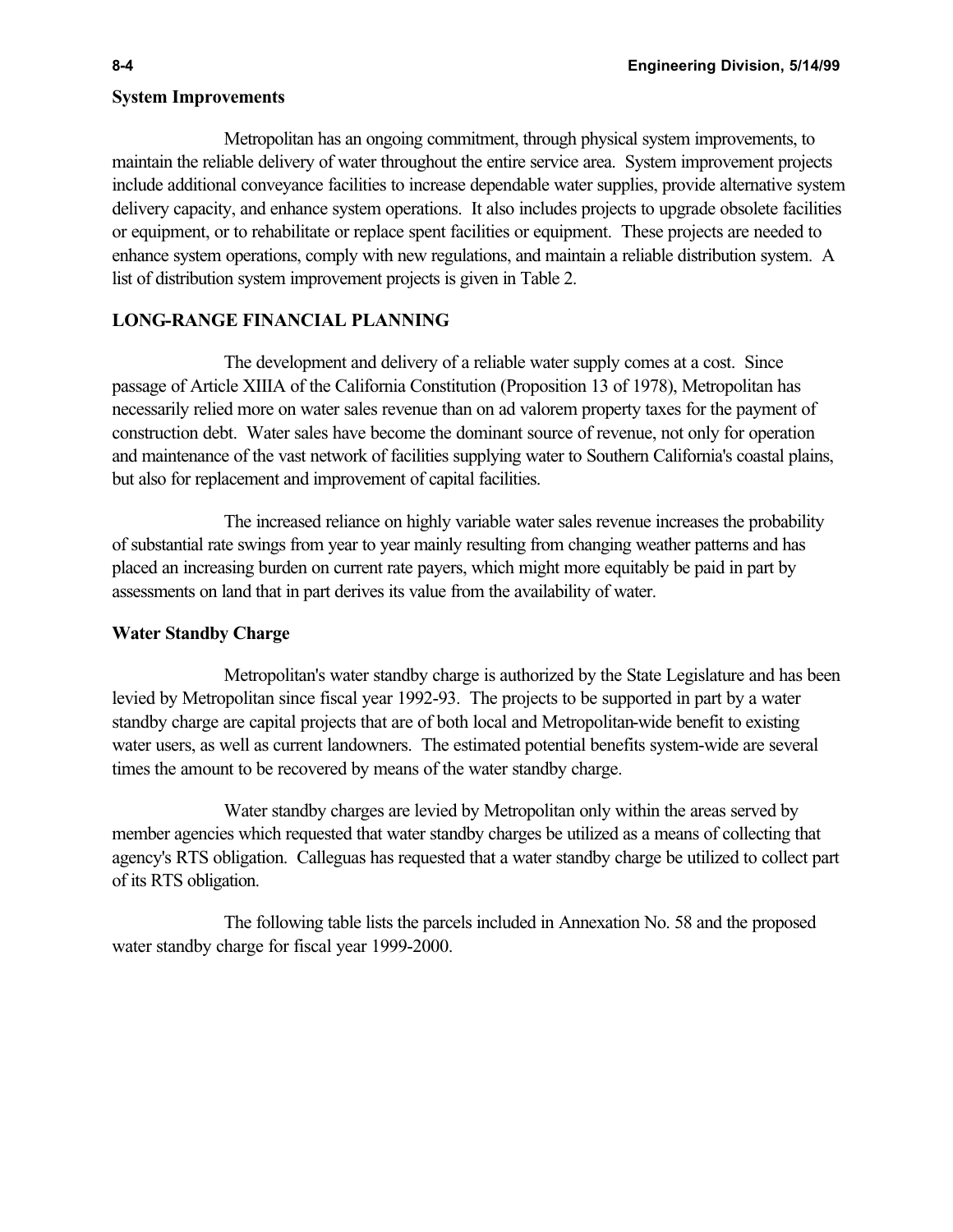#### **System Improvements**

Metropolitan has an ongoing commitment, through physical system improvements, to maintain the reliable delivery of water throughout the entire service area. System improvement projects include additional conveyance facilities to increase dependable water supplies, provide alternative system delivery capacity, and enhance system operations. It also includes projects to upgrade obsolete facilities or equipment, or to rehabilitate or replace spent facilities or equipment. These projects are needed to enhance system operations, comply with new regulations, and maintain a reliable distribution system. A list of distribution system improvement projects is given in Table 2.

### **LONG-RANGE FINANCIAL PLANNING**

The development and delivery of a reliable water supply comes at a cost. Since passage of Article XIIIA of the California Constitution (Proposition 13 of 1978), Metropolitan has necessarily relied more on water sales revenue than on ad valorem property taxes for the payment of construction debt. Water sales have become the dominant source of revenue, not only for operation and maintenance of the vast network of facilities supplying water to Southern California's coastal plains, but also for replacement and improvement of capital facilities.

The increased reliance on highly variable water sales revenue increases the probability of substantial rate swings from year to year mainly resulting from changing weather patterns and has placed an increasing burden on current rate payers, which might more equitably be paid in part by assessments on land that in part derives its value from the availability of water.

### **Water Standby Charge**

Metropolitan's water standby charge is authorized by the State Legislature and has been levied by Metropolitan since fiscal year 1992-93. The projects to be supported in part by a water standby charge are capital projects that are of both local and Metropolitan-wide benefit to existing water users, as well as current landowners. The estimated potential benefits system-wide are several times the amount to be recovered by means of the water standby charge.

Water standby charges are levied by Metropolitan only within the areas served by member agencies which requested that water standby charges be utilized as a means of collecting that agency's RTS obligation. Calleguas has requested that a water standby charge be utilized to collect part of its RTS obligation.

The following table lists the parcels included in Annexation No. 58 and the proposed water standby charge for fiscal year 1999-2000.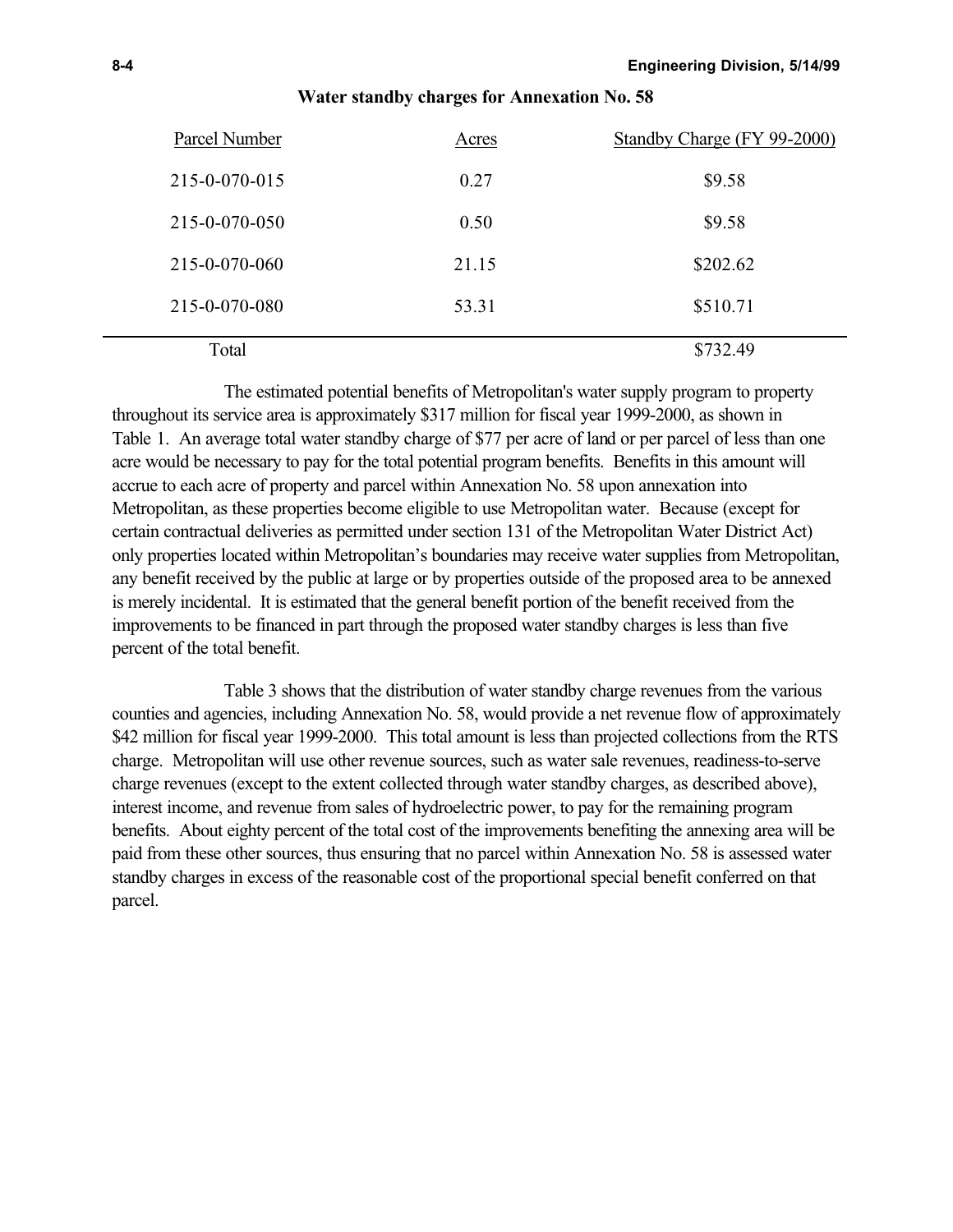| Parcel Number | Acres | Standby Charge (FY 99-2000) |
|---------------|-------|-----------------------------|
| 215-0-070-015 | 0.27  | \$9.58                      |
| 215-0-070-050 | 0.50  | \$9.58                      |
| 215-0-070-060 | 21.15 | \$202.62                    |
| 215-0-070-080 | 53.31 | \$510.71                    |
| Total         |       | \$732.49                    |

#### **Water standby charges for Annexation No. 58**

The estimated potential benefits of Metropolitan's water supply program to property throughout its service area is approximately \$317 million for fiscal year 1999-2000, as shown in Table 1. An average total water standby charge of \$77 per acre of land or per parcel of less than one acre would be necessary to pay for the total potential program benefits. Benefits in this amount will accrue to each acre of property and parcel within Annexation No. 58 upon annexation into Metropolitan, as these properties become eligible to use Metropolitan water. Because (except for certain contractual deliveries as permitted under section 131 of the Metropolitan Water District Act) only properties located within Metropolitan's boundaries may receive water supplies from Metropolitan, any benefit received by the public at large or by properties outside of the proposed area to be annexed is merely incidental. It is estimated that the general benefit portion of the benefit received from the improvements to be financed in part through the proposed water standby charges is less than five percent of the total benefit.

Table 3 shows that the distribution of water standby charge revenues from the various counties and agencies, including Annexation No. 58, would provide a net revenue flow of approximately \$42 million for fiscal year 1999-2000. This total amount is less than projected collections from the RTS charge. Metropolitan will use other revenue sources, such as water sale revenues, readiness-to-serve charge revenues (except to the extent collected through water standby charges, as described above), interest income, and revenue from sales of hydroelectric power, to pay for the remaining program benefits. About eighty percent of the total cost of the improvements benefiting the annexing area will be paid from these other sources, thus ensuring that no parcel within Annexation No. 58 is assessed water standby charges in excess of the reasonable cost of the proportional special benefit conferred on that parcel.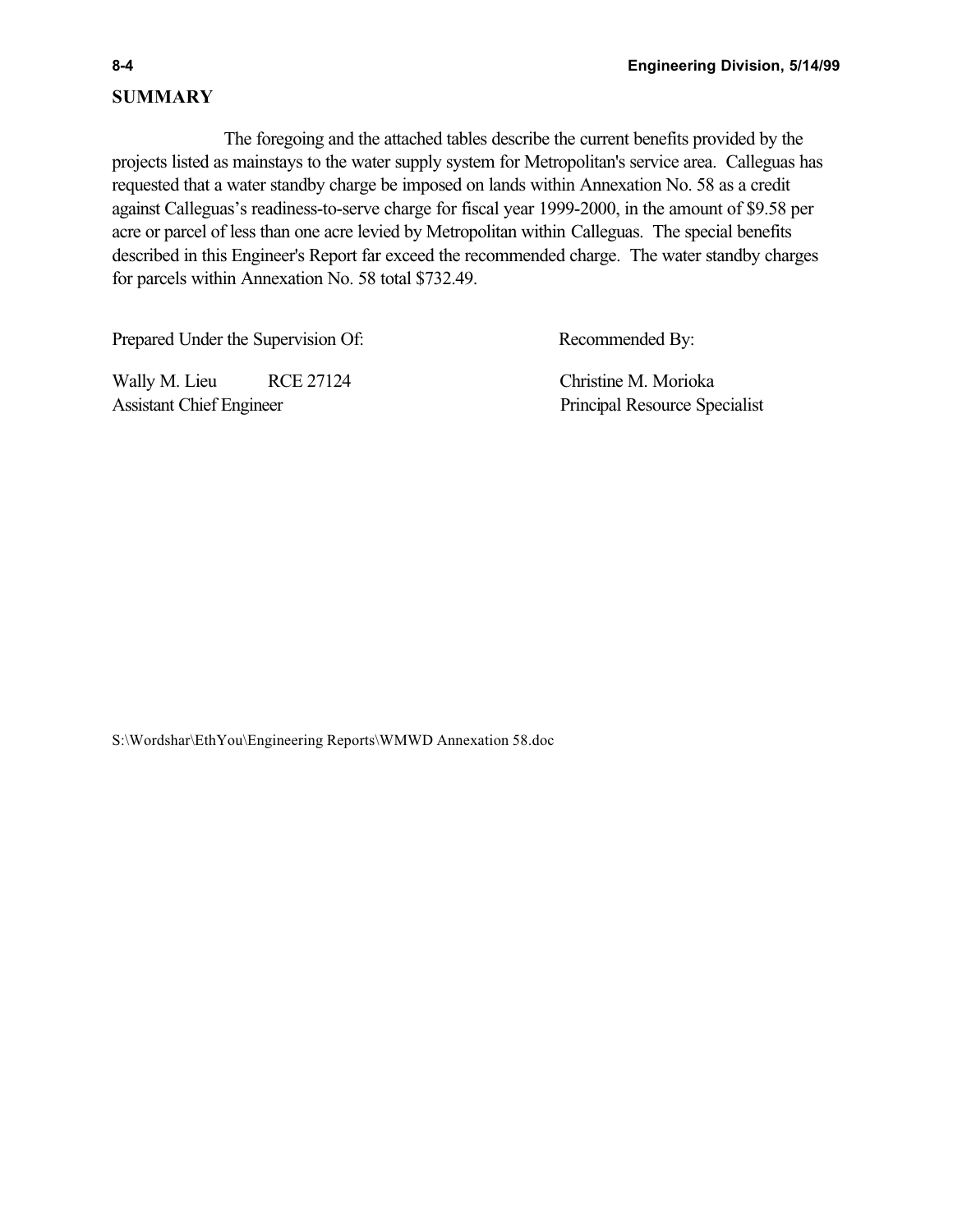# **SUMMARY**

The foregoing and the attached tables describe the current benefits provided by the projects listed as mainstays to the water supply system for Metropolitan's service area. Calleguas has requested that a water standby charge be imposed on lands within Annexation No. 58 as a credit against Calleguas's readiness-to-serve charge for fiscal year 1999-2000, in the amount of \$9.58 per acre or parcel of less than one acre levied by Metropolitan within Calleguas. The special benefits described in this Engineer's Report far exceed the recommended charge. The water standby charges for parcels within Annexation No. 58 total \$732.49.

Prepared Under the Supervision Of: Recommended By:

Wally M. Lieu RCE 27124 Christine M. Morioka Assistant Chief Engineer Principal Resource Specialist

S:\Wordshar\EthYou\Engineering Reports\WMWD Annexation 58.doc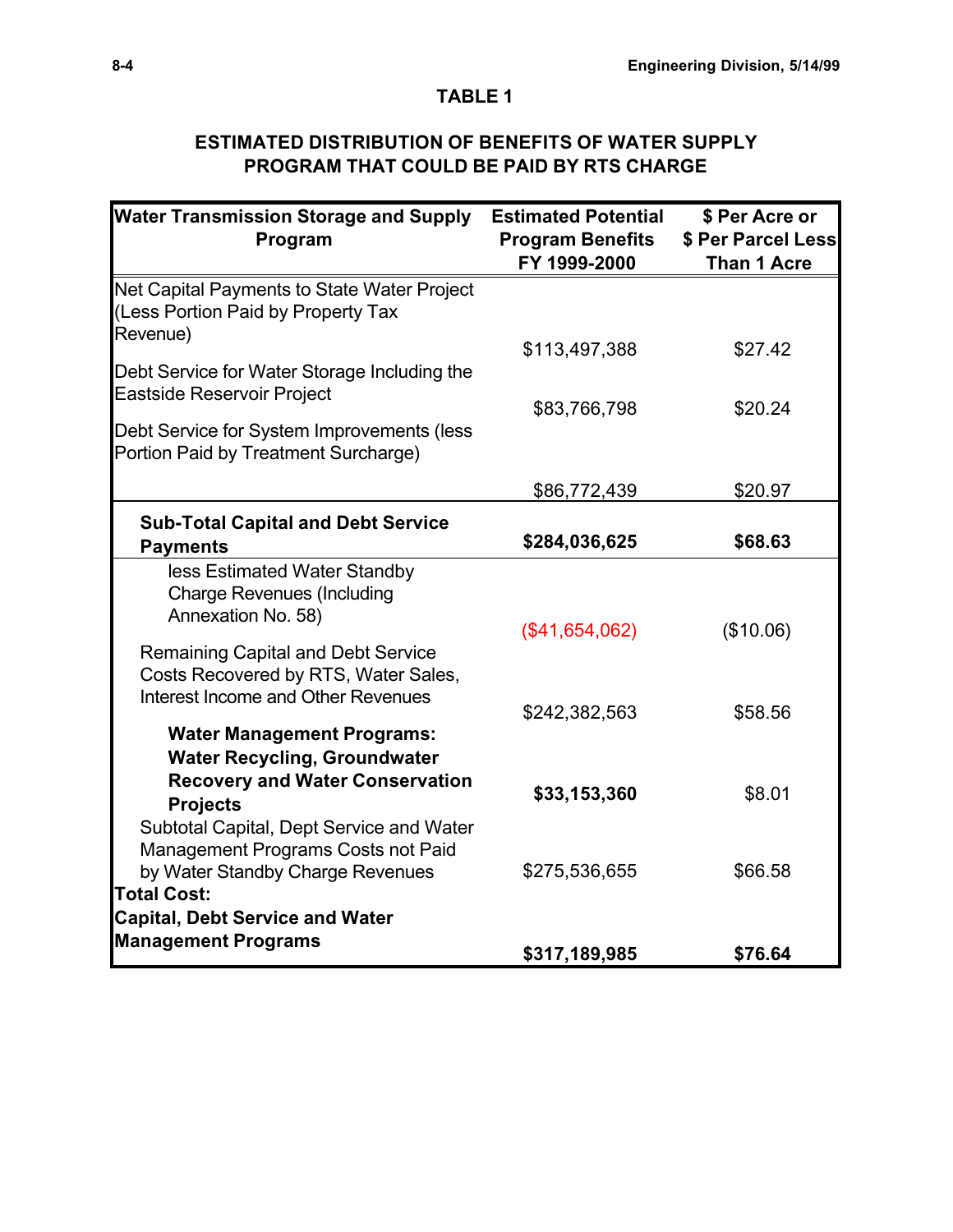# **TABLE 1**

# **ESTIMATED DISTRIBUTION OF BENEFITS OF WATER SUPPLY PROGRAM THAT COULD BE PAID BY RTS CHARGE**

| <b>Water Transmission Storage and Supply</b>                                      | <b>Estimated Potential</b> | \$ Per Acre or     |  |
|-----------------------------------------------------------------------------------|----------------------------|--------------------|--|
| Program                                                                           | <b>Program Benefits</b>    | \$ Per Parcel Less |  |
|                                                                                   | FY 1999-2000               | <b>Than 1 Acre</b> |  |
| Net Capital Payments to State Water Project                                       |                            |                    |  |
| (Less Portion Paid by Property Tax                                                |                            |                    |  |
| Revenue)                                                                          |                            |                    |  |
| Debt Service for Water Storage Including the                                      | \$113,497,388              | \$27.42            |  |
| <b>Eastside Reservoir Project</b>                                                 |                            |                    |  |
|                                                                                   | \$83,766,798               | \$20.24            |  |
| Debt Service for System Improvements (less                                        |                            |                    |  |
| Portion Paid by Treatment Surcharge)                                              |                            |                    |  |
|                                                                                   | \$86,772,439               | \$20.97            |  |
| <b>Sub-Total Capital and Debt Service</b>                                         |                            |                    |  |
| <b>Payments</b>                                                                   | \$284,036,625              | \$68.63            |  |
| less Estimated Water Standby                                                      |                            |                    |  |
| <b>Charge Revenues (Including</b>                                                 |                            |                    |  |
| Annexation No. 58)                                                                |                            |                    |  |
|                                                                                   | (\$41,654,062)             | (\$10.06)          |  |
| <b>Remaining Capital and Debt Service</b><br>Costs Recovered by RTS, Water Sales, |                            |                    |  |
| Interest Income and Other Revenues                                                |                            |                    |  |
|                                                                                   | \$242,382,563              | \$58.56            |  |
| <b>Water Management Programs:</b>                                                 |                            |                    |  |
| <b>Water Recycling, Groundwater</b>                                               |                            |                    |  |
| <b>Recovery and Water Conservation</b>                                            | \$33,153,360               | \$8.01             |  |
| <b>Projects</b>                                                                   |                            |                    |  |
| Subtotal Capital, Dept Service and Water                                          |                            |                    |  |
| Management Programs Costs not Paid                                                |                            | \$66.58            |  |
| by Water Standby Charge Revenues<br><b>Total Cost:</b>                            | \$275,536,655              |                    |  |
| <b>Capital, Debt Service and Water</b>                                            |                            |                    |  |
| <b>Management Programs</b>                                                        |                            |                    |  |
|                                                                                   | \$317,189,985              | \$76.64            |  |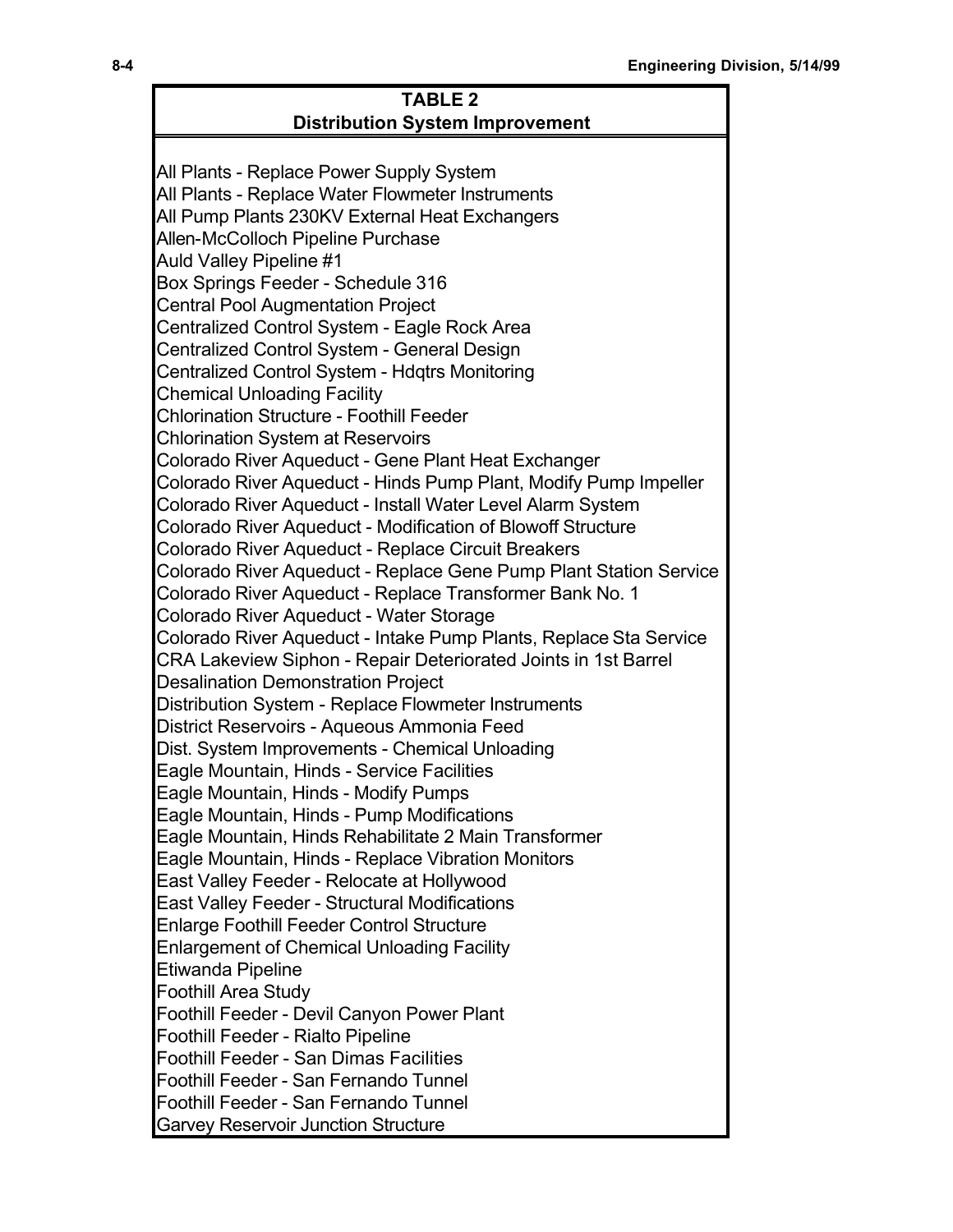| <b>TABLE 2</b>                                                                                      |  |  |  |  |
|-----------------------------------------------------------------------------------------------------|--|--|--|--|
| <b>Distribution System Improvement</b>                                                              |  |  |  |  |
|                                                                                                     |  |  |  |  |
| All Plants - Replace Power Supply System                                                            |  |  |  |  |
| All Plants - Replace Water Flowmeter Instruments                                                    |  |  |  |  |
| All Pump Plants 230KV External Heat Exchangers                                                      |  |  |  |  |
| Allen-McColloch Pipeline Purchase                                                                   |  |  |  |  |
| Auld Valley Pipeline #1                                                                             |  |  |  |  |
| Box Springs Feeder - Schedule 316                                                                   |  |  |  |  |
| <b>Central Pool Augmentation Project</b>                                                            |  |  |  |  |
| Centralized Control System - Eagle Rock Area                                                        |  |  |  |  |
| Centralized Control System - General Design                                                         |  |  |  |  |
| Centralized Control System - Hdqtrs Monitoring                                                      |  |  |  |  |
| <b>Chemical Unloading Facility</b>                                                                  |  |  |  |  |
| <b>Chlorination Structure - Foothill Feeder</b>                                                     |  |  |  |  |
| <b>Chlorination System at Reservoirs</b>                                                            |  |  |  |  |
| Colorado River Aqueduct - Gene Plant Heat Exchanger                                                 |  |  |  |  |
| Colorado River Aqueduct - Hinds Pump Plant, Modify Pump Impeller                                    |  |  |  |  |
| Colorado River Aqueduct - Install Water Level Alarm System                                          |  |  |  |  |
| <b>Colorado River Aqueduct - Modification of Blowoff Structure</b>                                  |  |  |  |  |
| Colorado River Aqueduct - Replace Circuit Breakers                                                  |  |  |  |  |
| Colorado River Aqueduct - Replace Gene Pump Plant Station Service                                   |  |  |  |  |
| Colorado River Aqueduct - Replace Transformer Bank No. 1<br>Colorado River Aqueduct - Water Storage |  |  |  |  |
| Colorado River Aqueduct - Intake Pump Plants, Replace Sta Service                                   |  |  |  |  |
| CRA Lakeview Siphon - Repair Deteriorated Joints in 1st Barrel                                      |  |  |  |  |
| <b>Desalination Demonstration Project</b>                                                           |  |  |  |  |
| Distribution System - Replace Flowmeter Instruments                                                 |  |  |  |  |
| District Reservoirs - Aqueous Ammonia Feed                                                          |  |  |  |  |
| Dist. System Improvements - Chemical Unloading                                                      |  |  |  |  |
| Eagle Mountain, Hinds - Service Facilities                                                          |  |  |  |  |
| Eagle Mountain, Hinds - Modify Pumps                                                                |  |  |  |  |
| Eagle Mountain, Hinds - Pump Modifications                                                          |  |  |  |  |
| Eagle Mountain, Hinds Rehabilitate 2 Main Transformer                                               |  |  |  |  |
| Eagle Mountain, Hinds - Replace Vibration Monitors                                                  |  |  |  |  |
| East Valley Feeder - Relocate at Hollywood                                                          |  |  |  |  |
| <b>East Valley Feeder - Structural Modifications</b>                                                |  |  |  |  |
| <b>Enlarge Foothill Feeder Control Structure</b>                                                    |  |  |  |  |
| <b>Enlargement of Chemical Unloading Facility</b>                                                   |  |  |  |  |
| Etiwanda Pipeline                                                                                   |  |  |  |  |
| <b>Foothill Area Study</b>                                                                          |  |  |  |  |
| Foothill Feeder - Devil Canyon Power Plant                                                          |  |  |  |  |
| Foothill Feeder - Rialto Pipeline                                                                   |  |  |  |  |
| <b>Foothill Feeder - San Dimas Facilities</b>                                                       |  |  |  |  |
| Foothill Feeder - San Fernando Tunnel                                                               |  |  |  |  |
| Foothill Feeder - San Fernando Tunnel                                                               |  |  |  |  |
| <b>Garvey Reservoir Junction Structure</b>                                                          |  |  |  |  |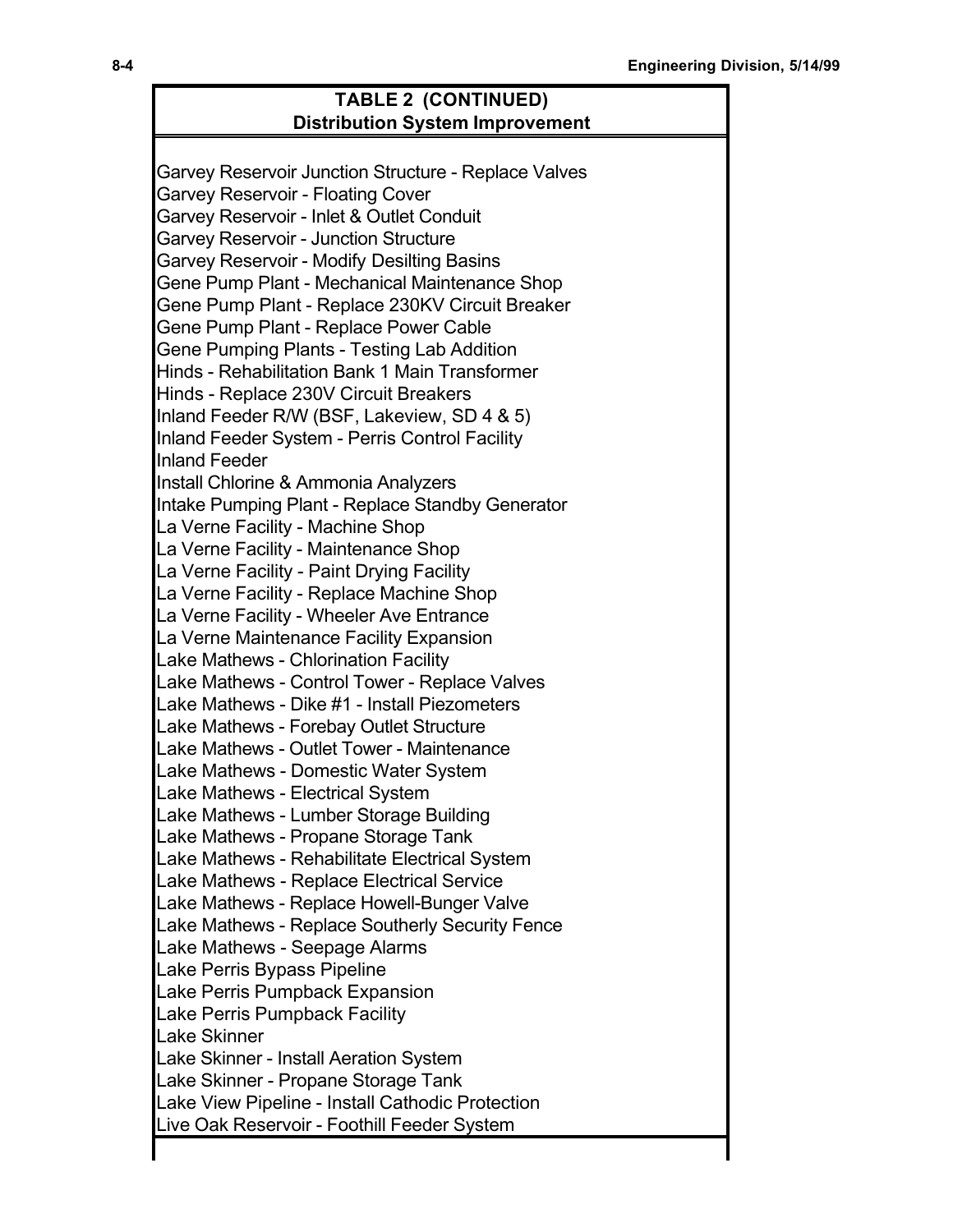# **TABLE 2 (CONTINUED) Distribution System Improvement**

Garvey Reservoir Junction Structure - Replace Valves Garvey Reservoir - Floating Cover Garvey Reservoir - Inlet & Outlet Conduit Garvey Reservoir - Junction Structure Garvey Reservoir - Modify Desilting Basins Gene Pump Plant - Mechanical Maintenance Shop Gene Pump Plant - Replace 230KV Circuit Breaker Gene Pump Plant - Replace Power Cable Gene Pumping Plants - Testing Lab Addition Hinds - Rehabilitation Bank 1 Main Transformer Hinds - Replace 230V Circuit Breakers Inland Feeder R/W (BSF, Lakeview, SD 4 & 5) Inland Feeder System - Perris Control Facility Inland Feeder Install Chlorine & Ammonia Analyzers Intake Pumping Plant - Replace Standby Generator La Verne Facility - Machine Shop La Verne Facility - Maintenance Shop La Verne Facility - Paint Drying Facility La Verne Facility - Replace Machine Shop La Verne Facility - Wheeler Ave Entrance La Verne Maintenance Facility Expansion Lake Mathews - Chlorination Facility Lake Mathews - Control Tower - Replace Valves Lake Mathews - Dike #1 - Install Piezometers Lake Mathews - Forebay Outlet Structure Lake Mathews - Outlet Tower - Maintenance Lake Mathews - Domestic Water System Lake Mathews - Electrical System Lake Mathews - Lumber Storage Building Lake Mathews - Propane Storage Tank Lake Mathews - Rehabilitate Electrical System Lake Mathews - Replace Electrical Service Lake Mathews - Replace Howell-Bunger Valve Lake Mathews - Replace Southerly Security Fence Lake Mathews - Seepage Alarms Lake Perris Bypass Pipeline Lake Perris Pumpback Expansion Lake Perris Pumpback Facility Lake Skinner Lake Skinner - Install Aeration System Lake Skinner - Propane Storage Tank Lake View Pipeline - Install Cathodic Protection Live Oak Reservoir - Foothill Feeder System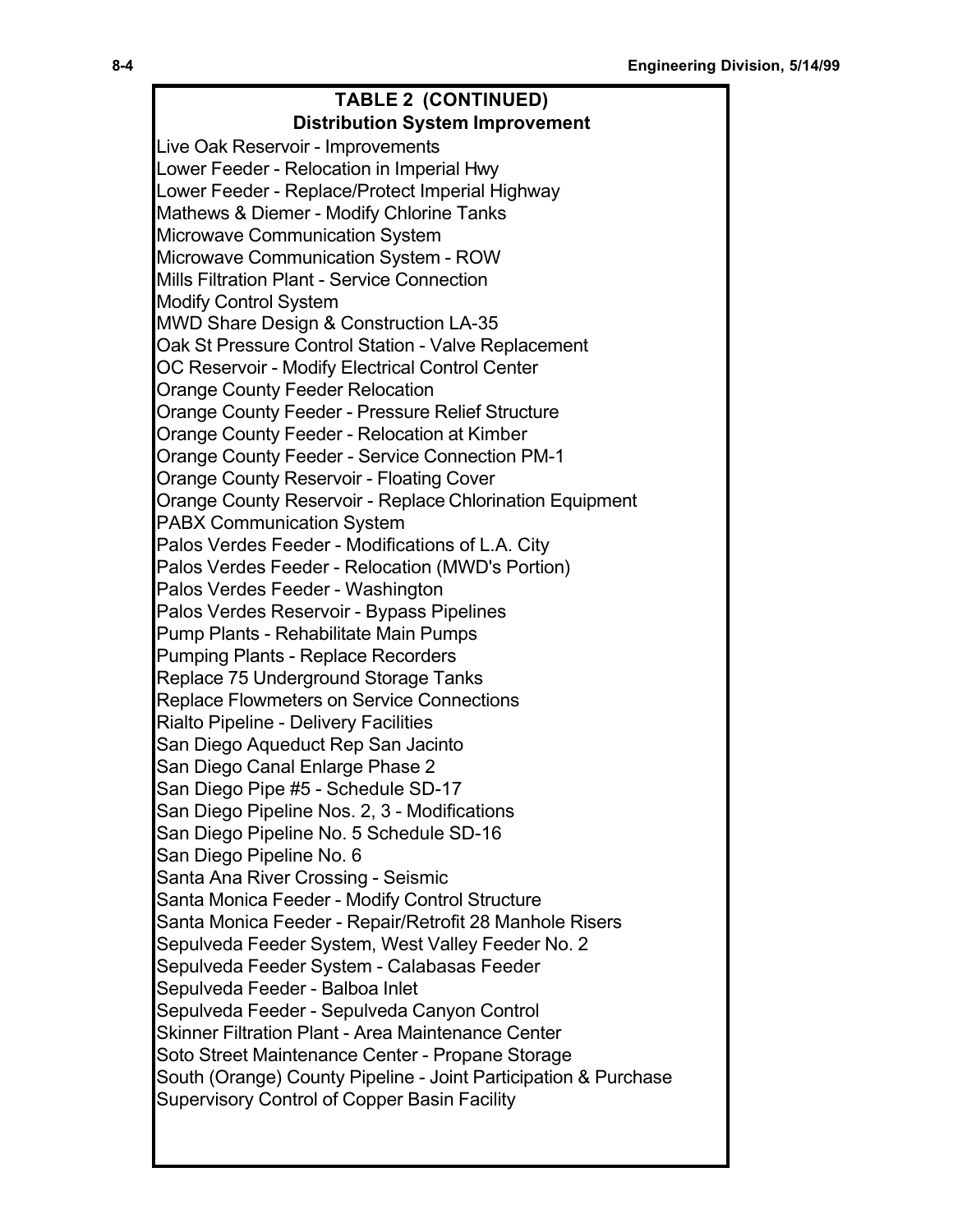# **TABLE 2 (CONTINUED)**

**Distribution System Improvement**

Live Oak Reservoir - Improvements Lower Feeder - Relocation in Imperial Hwy Lower Feeder - Replace/Protect Imperial Highway Mathews & Diemer - Modify Chlorine Tanks Microwave Communication System Microwave Communication System - ROW Mills Filtration Plant - Service Connection Modify Control System MWD Share Design & Construction LA-35 Oak St Pressure Control Station - Valve Replacement OC Reservoir - Modify Electrical Control Center Orange County Feeder Relocation Orange County Feeder - Pressure Relief Structure Orange County Feeder - Relocation at Kimber Orange County Feeder - Service Connection PM-1 Orange County Reservoir - Floating Cover Orange County Reservoir - Replace Chlorination Equipment PABX Communication System Palos Verdes Feeder - Modifications of L.A. City Palos Verdes Feeder - Relocation (MWD's Portion) Palos Verdes Feeder - Washington Palos Verdes Reservoir - Bypass Pipelines Pump Plants - Rehabilitate Main Pumps Pumping Plants - Replace Recorders Replace 75 Underground Storage Tanks Replace Flowmeters on Service Connections Rialto Pipeline - Delivery Facilities San Diego Aqueduct Rep San Jacinto San Diego Canal Enlarge Phase 2 San Diego Pipe #5 - Schedule SD-17 San Diego Pipeline Nos. 2, 3 - Modifications San Diego Pipeline No. 5 Schedule SD-16 San Diego Pipeline No. 6 Santa Ana River Crossing - Seismic Santa Monica Feeder - Modify Control Structure Santa Monica Feeder - Repair/Retrofit 28 Manhole Risers Sepulveda Feeder System, West Valley Feeder No. 2 Sepulveda Feeder System - Calabasas Feeder Sepulveda Feeder - Balboa Inlet Sepulveda Feeder - Sepulveda Canyon Control Skinner Filtration Plant - Area Maintenance Center Soto Street Maintenance Center - Propane Storage South (Orange) County Pipeline - Joint Participation & Purchase Supervisory Control of Copper Basin Facility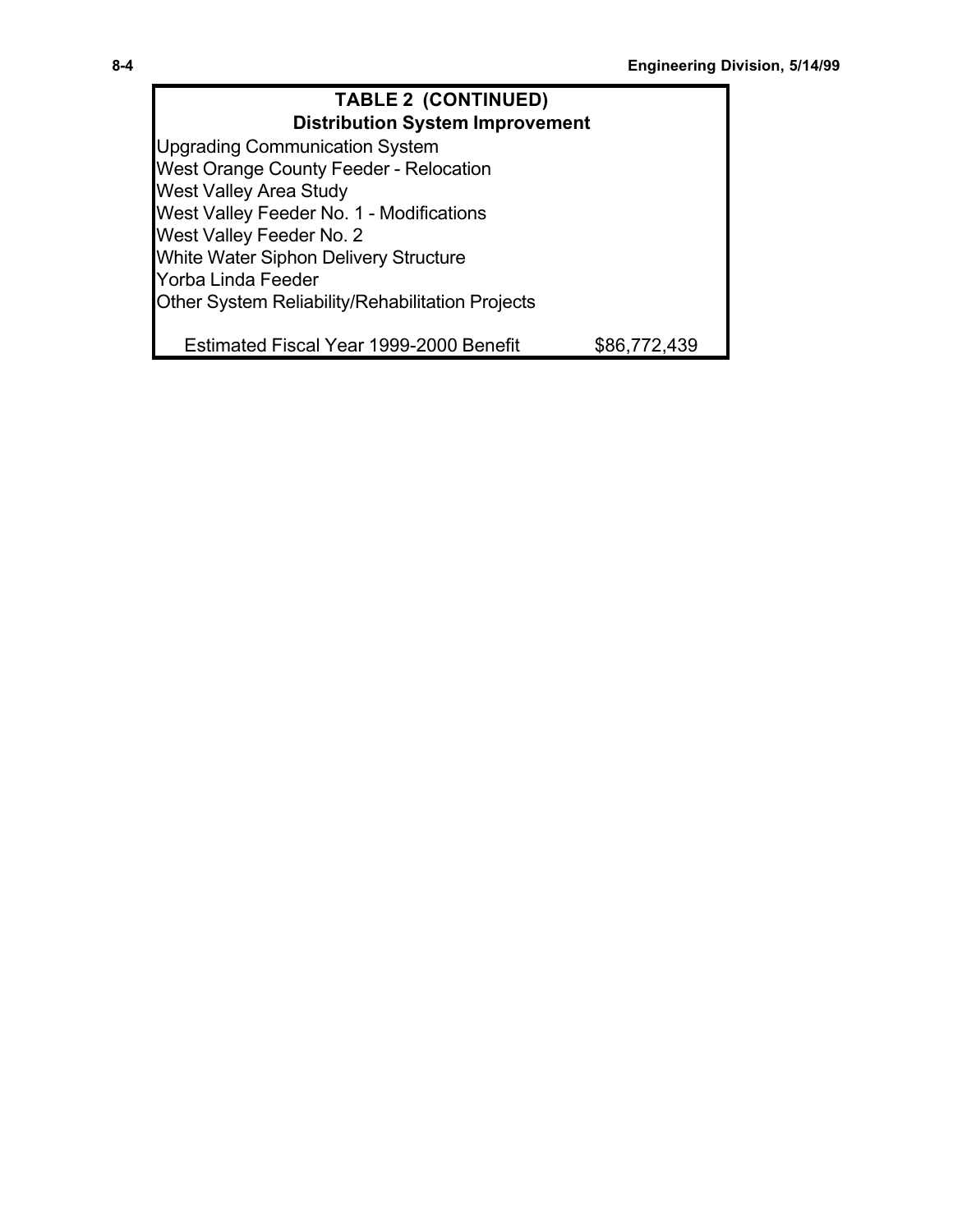| <b>TABLE 2 (CONTINUED)</b>                       |              |  |  |  |
|--------------------------------------------------|--------------|--|--|--|
| <b>Distribution System Improvement</b>           |              |  |  |  |
| <b>Upgrading Communication System</b>            |              |  |  |  |
| West Orange County Feeder - Relocation           |              |  |  |  |
| <b>West Valley Area Study</b>                    |              |  |  |  |
| West Valley Feeder No. 1 - Modifications         |              |  |  |  |
| West Valley Feeder No. 2                         |              |  |  |  |
| White Water Siphon Delivery Structure            |              |  |  |  |
| Yorba Linda Feeder                               |              |  |  |  |
| Other System Reliability/Rehabilitation Projects |              |  |  |  |
|                                                  |              |  |  |  |
| Estimated Fiscal Year 1999-2000 Benefit          | \$86.772.439 |  |  |  |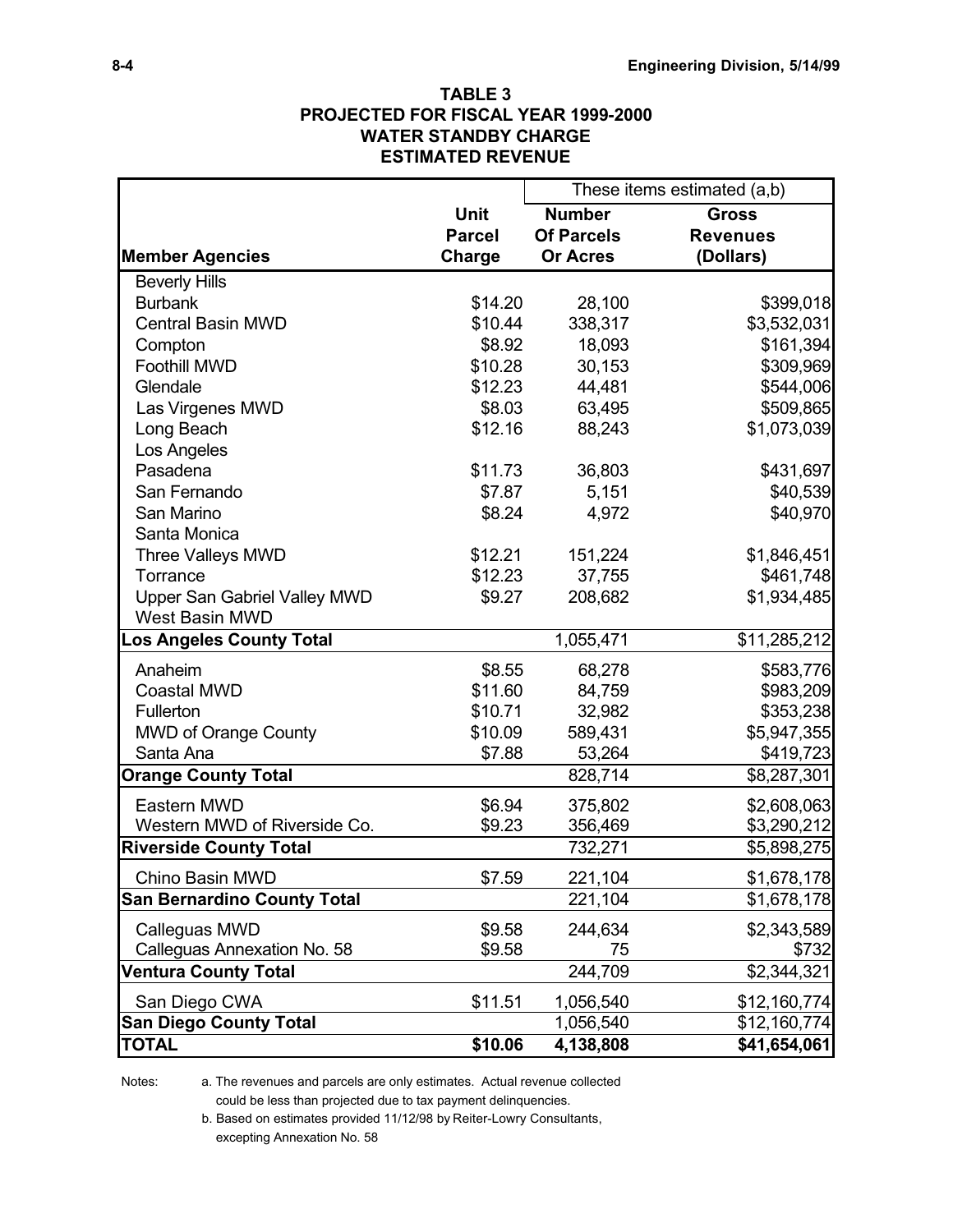### **TABLE 3 PROJECTED FOR FISCAL YEAR 1999-2000 WATER STANDBY CHARGE ESTIMATED REVENUE**

|                                    |               | These items estimated (a,b) |                 |
|------------------------------------|---------------|-----------------------------|-----------------|
|                                    | <b>Unit</b>   | <b>Number</b>               | <b>Gross</b>    |
|                                    | <b>Parcel</b> | <b>Of Parcels</b>           | <b>Revenues</b> |
| <b>Member Agencies</b>             | Charge        | <b>Or Acres</b>             | (Dollars)       |
| <b>Beverly Hills</b>               |               |                             |                 |
| <b>Burbank</b>                     | \$14.20       | 28,100                      | \$399,018       |
| <b>Central Basin MWD</b>           | \$10.44       | 338,317                     | \$3,532,031     |
| Compton                            | \$8.92        | 18,093                      | \$161,394       |
| <b>Foothill MWD</b>                | \$10.28       | 30,153                      | \$309,969       |
| Glendale                           | \$12.23       | 44,481                      | \$544,006       |
| Las Virgenes MWD                   | \$8.03        | 63,495                      | \$509,865       |
| Long Beach                         | \$12.16       | 88,243                      | \$1,073,039     |
| Los Angeles                        |               |                             |                 |
| Pasadena                           | \$11.73       | 36,803                      | \$431,697       |
| San Fernando                       | \$7.87        | 5,151                       | \$40,539        |
| San Marino                         | \$8.24        | 4,972                       | \$40,970        |
| Santa Monica                       |               |                             |                 |
| <b>Three Valleys MWD</b>           | \$12.21       | 151,224                     | \$1,846,451     |
| Torrance                           | \$12.23       | 37,755                      | \$461,748       |
| Upper San Gabriel Valley MWD       | \$9.27        | 208,682                     | \$1,934,485     |
| West Basin MWD                     |               |                             |                 |
| os Angeles County Total            |               | 1,055,471                   | \$11,285,212    |
| Anaheim                            | \$8.55        | 68,278                      | \$583,776       |
| <b>Coastal MWD</b>                 | \$11.60       | 84,759                      | \$983,209       |
| Fullerton                          | \$10.71       | 32,982                      | \$353,238       |
| <b>MWD of Orange County</b>        | \$10.09       | 589,431                     | \$5,947,355     |
| Santa Ana                          | \$7.88        | 53,264                      | \$419,723       |
| <b>Orange County Total</b>         |               | 828,714                     | \$8,287,301     |
| Eastern MWD                        | \$6.94        | 375,802                     | \$2,608,063     |
| Western MWD of Riverside Co.       | \$9.23        | 356,469                     | \$3,290,212     |
| <b>Riverside County Total</b>      |               | 732,271                     | \$5,898,275     |
| Chino Basin MWD                    | \$7.59        | 221,104                     | \$1,678,178     |
| <b>San Bernardino County Total</b> |               | 221,104                     | \$1,678,178     |
| Calleguas MWD                      | \$9.58        | 244,634                     | \$2,343,589     |
| Calleguas Annexation No. 58        | \$9.58        | 75                          | \$732           |
| <b>Ventura County Total</b>        |               | 244,709                     | \$2,344,321     |
| San Diego CWA                      | \$11.51       | 1,056,540                   | \$12,160,774    |
| <b>San Diego County Total</b>      |               | 1,056,540                   | \$12,160,774    |
| <b>TOTAL</b>                       | \$10.06       | 4,138,808                   | \$41,654,061    |

Notes: a. The revenues and parcels are only estimates. Actual revenue collected could be less than projected due to tax payment delinquencies.

> b. Based on estimates provided 11/12/98 by Reiter-Lowry Consultants, excepting Annexation No. 58